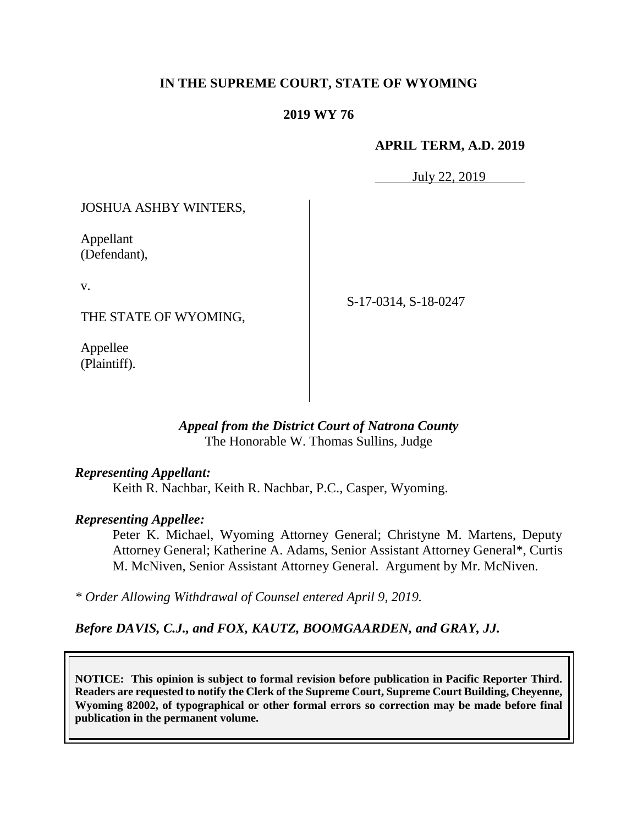### **IN THE SUPREME COURT, STATE OF WYOMING**

#### **2019 WY 76**

#### **APRIL TERM, A.D. 2019**

July 22, 2019

JOSHUA ASHBY WINTERS,

Appellant (Defendant),

v.

THE STATE OF WYOMING,

Appellee (Plaintiff). S-17-0314, S-18-0247

*Appeal from the District Court of Natrona County* The Honorable W. Thomas Sullins, Judge

#### *Representing Appellant:*

Keith R. Nachbar, Keith R. Nachbar, P.C., Casper, Wyoming.

#### *Representing Appellee:*

Peter K. Michael, Wyoming Attorney General; Christyne M. Martens, Deputy Attorney General; Katherine A. Adams, Senior Assistant Attorney General\*, Curtis M. McNiven, Senior Assistant Attorney General. Argument by Mr. McNiven.

*\* Order Allowing Withdrawal of Counsel entered April 9, 2019.*

*Before DAVIS, C.J., and FOX, KAUTZ, BOOMGAARDEN, and GRAY, JJ.*

**NOTICE: This opinion is subject to formal revision before publication in Pacific Reporter Third. Readers are requested to notify the Clerk of the Supreme Court, Supreme Court Building, Cheyenne, Wyoming 82002, of typographical or other formal errors so correction may be made before final publication in the permanent volume.**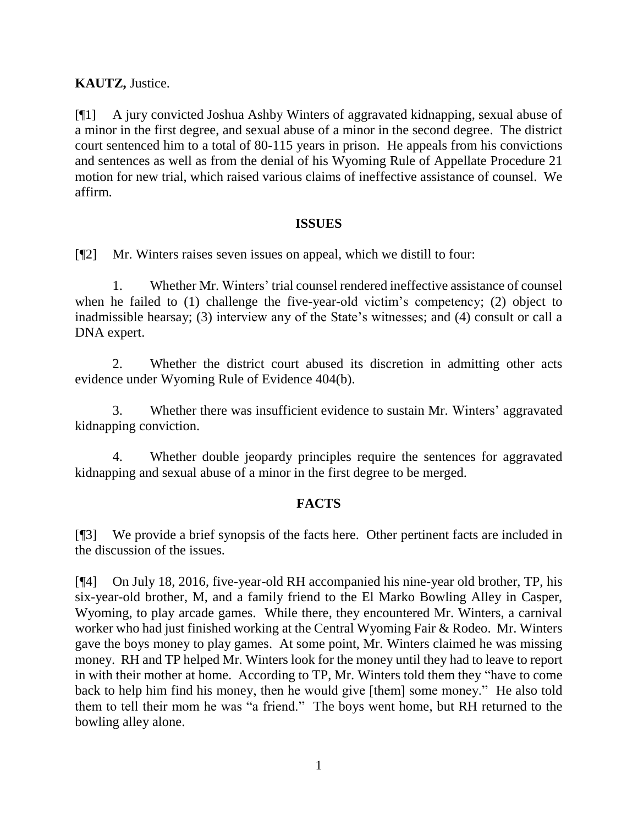## **KAUTZ,** Justice.

[¶1] A jury convicted Joshua Ashby Winters of aggravated kidnapping, sexual abuse of a minor in the first degree, and sexual abuse of a minor in the second degree. The district court sentenced him to a total of 80-115 years in prison. He appeals from his convictions and sentences as well as from the denial of his Wyoming Rule of Appellate Procedure 21 motion for new trial, which raised various claims of ineffective assistance of counsel. We affirm.

#### **ISSUES**

[¶2] Mr. Winters raises seven issues on appeal, which we distill to four:

1. Whether Mr. Winters' trial counsel rendered ineffective assistance of counsel when he failed to (1) challenge the five-year-old victim's competency; (2) object to inadmissible hearsay; (3) interview any of the State's witnesses; and (4) consult or call a DNA expert.

2. Whether the district court abused its discretion in admitting other acts evidence under Wyoming Rule of Evidence 404(b).

3. Whether there was insufficient evidence to sustain Mr. Winters' aggravated kidnapping conviction.

4. Whether double jeopardy principles require the sentences for aggravated kidnapping and sexual abuse of a minor in the first degree to be merged.

## **FACTS**

[¶3] We provide a brief synopsis of the facts here. Other pertinent facts are included in the discussion of the issues.

[¶4] On July 18, 2016, five-year-old RH accompanied his nine-year old brother, TP, his six-year-old brother, M, and a family friend to the El Marko Bowling Alley in Casper, Wyoming, to play arcade games. While there, they encountered Mr. Winters, a carnival worker who had just finished working at the Central Wyoming Fair & Rodeo. Mr. Winters gave the boys money to play games. At some point, Mr. Winters claimed he was missing money. RH and TP helped Mr. Winters look for the money until they had to leave to report in with their mother at home. According to TP, Mr. Winters told them they "have to come back to help him find his money, then he would give [them] some money." He also told them to tell their mom he was "a friend." The boys went home, but RH returned to the bowling alley alone.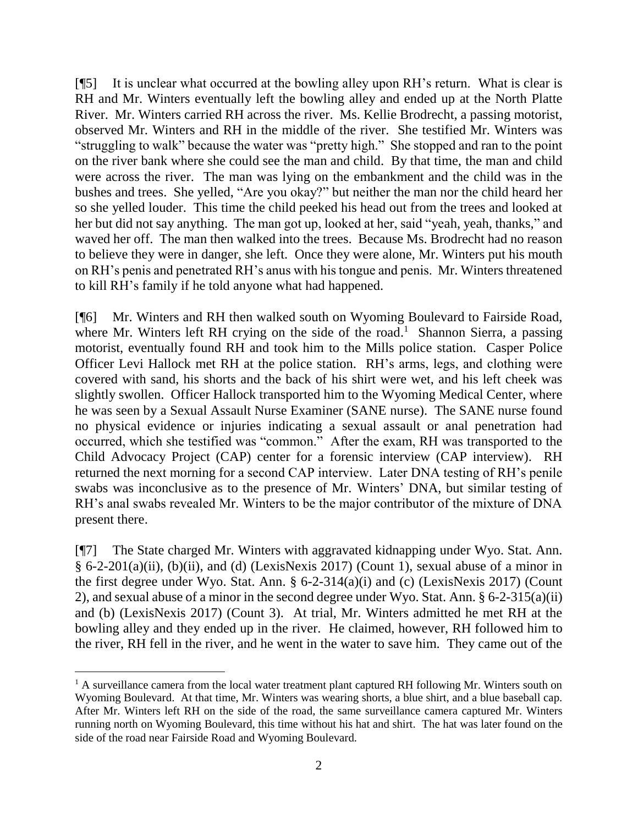[¶5] It is unclear what occurred at the bowling alley upon RH's return. What is clear is RH and Mr. Winters eventually left the bowling alley and ended up at the North Platte River. Mr. Winters carried RH across the river. Ms. Kellie Brodrecht, a passing motorist, observed Mr. Winters and RH in the middle of the river. She testified Mr. Winters was "struggling to walk" because the water was "pretty high." She stopped and ran to the point on the river bank where she could see the man and child. By that time, the man and child were across the river. The man was lying on the embankment and the child was in the bushes and trees. She yelled, "Are you okay?" but neither the man nor the child heard her so she yelled louder. This time the child peeked his head out from the trees and looked at her but did not say anything. The man got up, looked at her, said "yeah, yeah, thanks," and waved her off. The man then walked into the trees. Because Ms. Brodrecht had no reason to believe they were in danger, she left. Once they were alone, Mr. Winters put his mouth on RH's penis and penetrated RH's anus with his tongue and penis. Mr. Winters threatened to kill RH's family if he told anyone what had happened.

[¶6] Mr. Winters and RH then walked south on Wyoming Boulevard to Fairside Road, where Mr. Winters left RH crying on the side of the road.<sup>1</sup> Shannon Sierra, a passing motorist, eventually found RH and took him to the Mills police station. Casper Police Officer Levi Hallock met RH at the police station. RH's arms, legs, and clothing were covered with sand, his shorts and the back of his shirt were wet, and his left cheek was slightly swollen. Officer Hallock transported him to the Wyoming Medical Center, where he was seen by a Sexual Assault Nurse Examiner (SANE nurse). The SANE nurse found no physical evidence or injuries indicating a sexual assault or anal penetration had occurred, which she testified was "common." After the exam, RH was transported to the Child Advocacy Project (CAP) center for a forensic interview (CAP interview). RH returned the next morning for a second CAP interview. Later DNA testing of RH's penile swabs was inconclusive as to the presence of Mr. Winters' DNA, but similar testing of RH's anal swabs revealed Mr. Winters to be the major contributor of the mixture of DNA present there.

[¶7] The State charged Mr. Winters with aggravated kidnapping under Wyo. Stat. Ann.  $§ 6-2-201(a)(ii)$ , (b)(ii), and (d) (LexisNexis 2017) (Count 1), sexual abuse of a minor in the first degree under Wyo. Stat. Ann. § 6-2-314(a)(i) and (c) (LexisNexis 2017) (Count 2), and sexual abuse of a minor in the second degree under Wyo. Stat. Ann. § 6-2-315(a)(ii) and (b) (LexisNexis 2017) (Count 3). At trial, Mr. Winters admitted he met RH at the bowling alley and they ended up in the river. He claimed, however, RH followed him to the river, RH fell in the river, and he went in the water to save him. They came out of the

  $<sup>1</sup>$  A surveillance camera from the local water treatment plant captured RH following Mr. Winters south on</sup> Wyoming Boulevard. At that time, Mr. Winters was wearing shorts, a blue shirt, and a blue baseball cap. After Mr. Winters left RH on the side of the road, the same surveillance camera captured Mr. Winters running north on Wyoming Boulevard, this time without his hat and shirt. The hat was later found on the side of the road near Fairside Road and Wyoming Boulevard.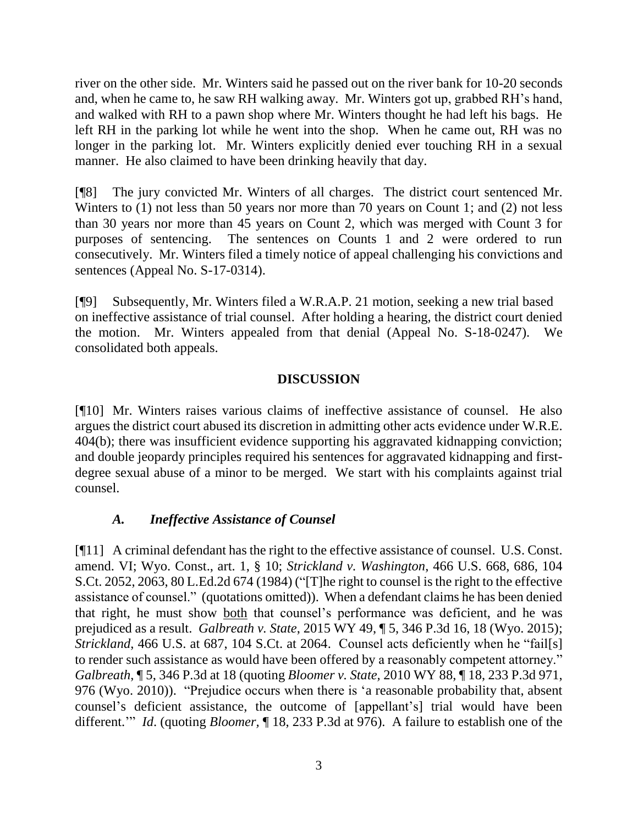river on the other side. Mr. Winters said he passed out on the river bank for 10-20 seconds and, when he came to, he saw RH walking away. Mr. Winters got up, grabbed RH's hand, and walked with RH to a pawn shop where Mr. Winters thought he had left his bags. He left RH in the parking lot while he went into the shop. When he came out, RH was no longer in the parking lot. Mr. Winters explicitly denied ever touching RH in a sexual manner. He also claimed to have been drinking heavily that day.

[¶8] The jury convicted Mr. Winters of all charges. The district court sentenced Mr. Winters to (1) not less than 50 years nor more than 70 years on Count 1; and (2) not less than 30 years nor more than 45 years on Count 2, which was merged with Count 3 for purposes of sentencing. The sentences on Counts 1 and 2 were ordered to run consecutively. Mr. Winters filed a timely notice of appeal challenging his convictions and sentences (Appeal No. S-17-0314).

[¶9] Subsequently, Mr. Winters filed a W.R.A.P. 21 motion, seeking a new trial based on ineffective assistance of trial counsel. After holding a hearing, the district court denied the motion. Mr. Winters appealed from that denial (Appeal No. S-18-0247). We consolidated both appeals.

#### **DISCUSSION**

[¶10] Mr. Winters raises various claims of ineffective assistance of counsel. He also argues the district court abused its discretion in admitting other acts evidence under W.R.E. 404(b); there was insufficient evidence supporting his aggravated kidnapping conviction; and double jeopardy principles required his sentences for aggravated kidnapping and firstdegree sexual abuse of a minor to be merged. We start with his complaints against trial counsel.

## *A. Ineffective Assistance of Counsel*

[¶11] A criminal defendant has the right to the effective assistance of counsel. U.S. Const. amend. VI; Wyo. Const., art. 1, § 10; *Strickland v. Washington*, 466 U.S. 668, 686, 104 S.Ct. 2052, 2063, 80 L.Ed.2d 674 (1984) ("[T]he right to counsel is the right to the effective assistance of counsel." (quotations omitted)). When a defendant claims he has been denied that right, he must show both that counsel's performance was deficient, and he was prejudiced as a result. *Galbreath v. State*, 2015 WY 49, ¶ 5, 346 P.3d 16, 18 (Wyo. 2015); *Strickland*, 466 U.S. at 687, 104 S.Ct. at 2064. Counsel acts deficiently when he "fail[s] to render such assistance as would have been offered by a reasonably competent attorney." *Galbreath*, ¶ 5, 346 P.3d at 18 (quoting *Bloomer v. State,* 2010 WY 88, ¶ 18, 233 P.3d 971, 976 (Wyo. 2010)). "Prejudice occurs when there is 'a reasonable probability that, absent counsel's deficient assistance, the outcome of [appellant's] trial would have been different.'" *Id*. (quoting *Bloomer,* ¶ 18, 233 P.3d at 976). A failure to establish one of the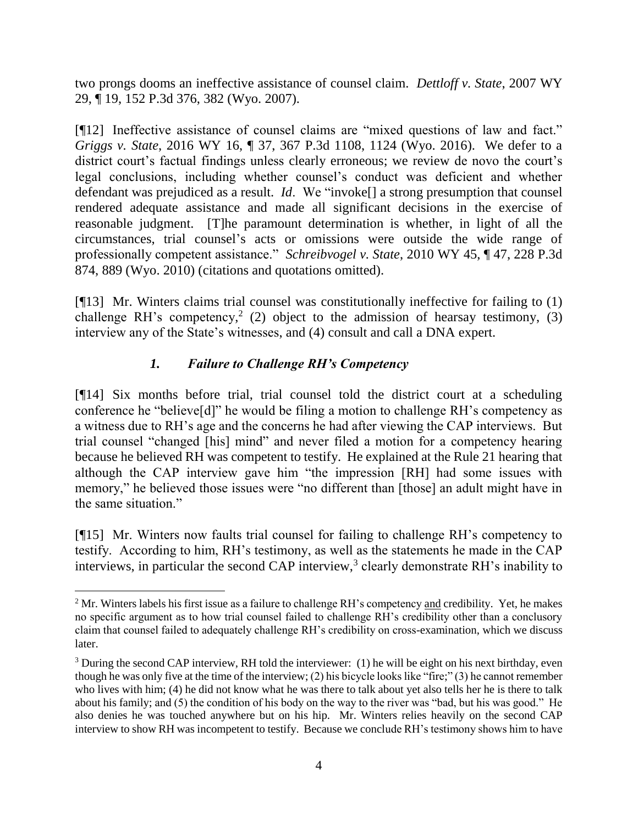two prongs dooms an ineffective assistance of counsel claim. *Dettloff v. State*, 2007 WY 29, ¶ 19, 152 P.3d 376, 382 (Wyo. 2007).

[¶12] Ineffective assistance of counsel claims are "mixed questions of law and fact." *Griggs v. State*, 2016 WY 16, ¶ 37, 367 P.3d 1108, 1124 (Wyo. 2016). We defer to a district court's factual findings unless clearly erroneous; we review de novo the court's legal conclusions, including whether counsel's conduct was deficient and whether defendant was prejudiced as a result. *Id*. We "invoke[] a strong presumption that counsel rendered adequate assistance and made all significant decisions in the exercise of reasonable judgment. [T]he paramount determination is whether, in light of all the circumstances, trial counsel's acts or omissions were outside the wide range of professionally competent assistance." *Schreibvogel v. State*, 2010 WY 45, ¶ 47, 228 P.3d 874, 889 (Wyo. 2010) (citations and quotations omitted).

[¶13] Mr. Winters claims trial counsel was constitutionally ineffective for failing to (1) challenge RH's competency,<sup>2</sup> (2) object to the admission of hearsay testimony, (3) interview any of the State's witnesses, and (4) consult and call a DNA expert.

# *1. Failure to Challenge RH's Competency*

[¶14] Six months before trial, trial counsel told the district court at a scheduling conference he "believe[d]" he would be filing a motion to challenge RH's competency as a witness due to RH's age and the concerns he had after viewing the CAP interviews. But trial counsel "changed [his] mind" and never filed a motion for a competency hearing because he believed RH was competent to testify. He explained at the Rule 21 hearing that although the CAP interview gave him "the impression [RH] had some issues with memory," he believed those issues were "no different than [those] an adult might have in the same situation."

[¶15] Mr. Winters now faults trial counsel for failing to challenge RH's competency to testify. According to him, RH's testimony, as well as the statements he made in the CAP interviews, in particular the second CAP interview,<sup>3</sup> clearly demonstrate RH's inability to

<sup>&</sup>lt;sup>2</sup> Mr. Winters labels his first issue as a failure to challenge RH's competency and credibility. Yet, he makes no specific argument as to how trial counsel failed to challenge RH's credibility other than a conclusory claim that counsel failed to adequately challenge RH's credibility on cross-examination, which we discuss later.

 $3$  During the second CAP interview, RH told the interviewer: (1) he will be eight on his next birthday, even though he was only five at the time of the interview; (2) his bicycle looks like "fire;" (3) he cannot remember who lives with him; (4) he did not know what he was there to talk about yet also tells her he is there to talk about his family; and (5) the condition of his body on the way to the river was "bad, but his was good." He also denies he was touched anywhere but on his hip. Mr. Winters relies heavily on the second CAP interview to show RH was incompetent to testify. Because we conclude RH's testimony shows him to have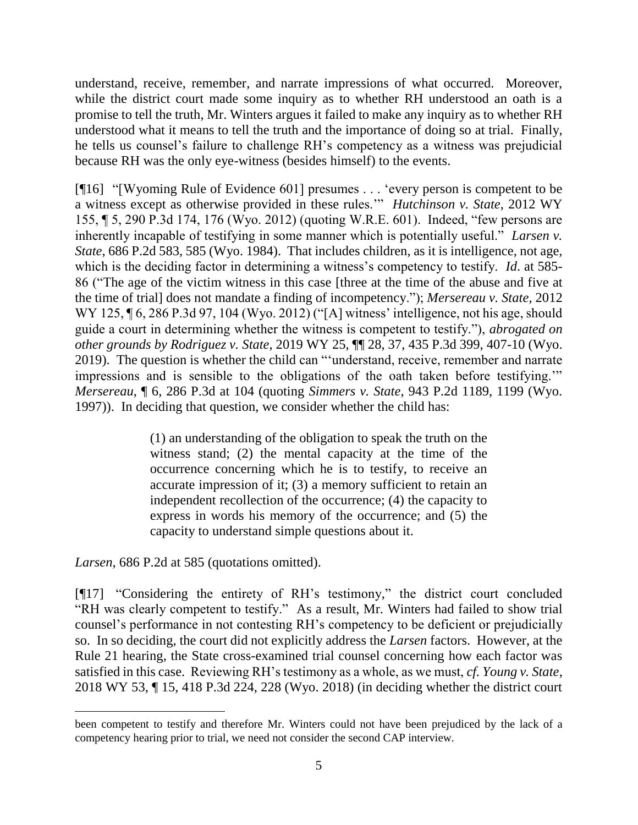understand, receive, remember, and narrate impressions of what occurred. Moreover, while the district court made some inquiry as to whether RH understood an oath is a promise to tell the truth, Mr. Winters argues it failed to make any inquiry as to whether RH understood what it means to tell the truth and the importance of doing so at trial. Finally, he tells us counsel's failure to challenge RH's competency as a witness was prejudicial because RH was the only eye-witness (besides himself) to the events.

[¶16] "[Wyoming Rule of Evidence 601] presumes . . . 'every person is competent to be a witness except as otherwise provided in these rules.'" *Hutchinson v. State*, 2012 WY 155, ¶ 5, 290 P.3d 174, 176 (Wyo. 2012) (quoting W.R.E. 601). Indeed, "few persons are inherently incapable of testifying in some manner which is potentially useful." *Larsen v. State*, 686 P.2d 583, 585 (Wyo. 1984). That includes children, as it is intelligence, not age, which is the deciding factor in determining a witness's competency to testify. *Id*. at 585- 86 ("The age of the victim witness in this case [three at the time of the abuse and five at the time of trial] does not mandate a finding of incompetency."); *Mersereau v. State*, 2012 WY 125, ¶ 6, 286 P.3d 97, 104 (Wyo. 2012) ("[A] witness' intelligence, not his age, should guide a court in determining whether the witness is competent to testify."), *abrogated on other grounds by Rodriguez v. State*, 2019 WY 25, ¶¶ 28, 37, 435 P.3d 399, 407-10 (Wyo. 2019). The question is whether the child can "'understand, receive, remember and narrate impressions and is sensible to the obligations of the oath taken before testifying.'" *Mersereau*, ¶ 6, 286 P.3d at 104 (quoting *Simmers v. State*, 943 P.2d 1189, 1199 (Wyo. 1997)). In deciding that question, we consider whether the child has:

> (1) an understanding of the obligation to speak the truth on the witness stand; (2) the mental capacity at the time of the occurrence concerning which he is to testify, to receive an accurate impression of it; (3) a memory sufficient to retain an independent recollection of the occurrence; (4) the capacity to express in words his memory of the occurrence; and (5) the capacity to understand simple questions about it.

*Larsen*, 686 P.2d at 585 (quotations omitted).

l

[¶17] "Considering the entirety of RH's testimony," the district court concluded "RH was clearly competent to testify." As a result, Mr. Winters had failed to show trial counsel's performance in not contesting RH's competency to be deficient or prejudicially so. In so deciding, the court did not explicitly address the *Larsen* factors. However, at the Rule 21 hearing, the State cross-examined trial counsel concerning how each factor was satisfied in this case. Reviewing RH's testimony as a whole, as we must, *cf. Young v. State*, 2018 WY 53, ¶ 15, 418 P.3d 224, 228 (Wyo. 2018) (in deciding whether the district court

been competent to testify and therefore Mr. Winters could not have been prejudiced by the lack of a competency hearing prior to trial, we need not consider the second CAP interview.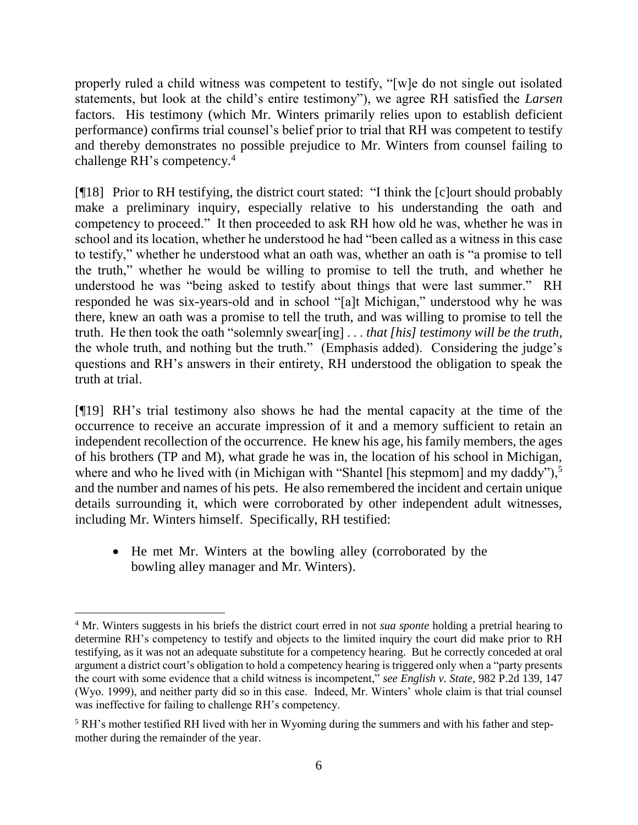properly ruled a child witness was competent to testify, "[w]e do not single out isolated statements, but look at the child's entire testimony"), we agree RH satisfied the *Larsen* factors. His testimony (which Mr. Winters primarily relies upon to establish deficient performance) confirms trial counsel's belief prior to trial that RH was competent to testify and thereby demonstrates no possible prejudice to Mr. Winters from counsel failing to challenge RH's competency. 4

[¶18] Prior to RH testifying, the district court stated: "I think the [c]ourt should probably make a preliminary inquiry, especially relative to his understanding the oath and competency to proceed." It then proceeded to ask RH how old he was, whether he was in school and its location, whether he understood he had "been called as a witness in this case to testify," whether he understood what an oath was, whether an oath is "a promise to tell the truth," whether he would be willing to promise to tell the truth, and whether he understood he was "being asked to testify about things that were last summer." RH responded he was six-years-old and in school "[a]t Michigan," understood why he was there, knew an oath was a promise to tell the truth, and was willing to promise to tell the truth. He then took the oath "solemnly swear[ing] . . . *that [his] testimony will be the truth,* the whole truth, and nothing but the truth." (Emphasis added). Considering the judge's questions and RH's answers in their entirety, RH understood the obligation to speak the truth at trial.

[¶19] RH's trial testimony also shows he had the mental capacity at the time of the occurrence to receive an accurate impression of it and a memory sufficient to retain an independent recollection of the occurrence. He knew his age, his family members, the ages of his brothers (TP and M), what grade he was in, the location of his school in Michigan, where and who he lived with (in Michigan with "Shantel [his stepmom] and my daddy"),<sup>5</sup> and the number and names of his pets. He also remembered the incident and certain unique details surrounding it, which were corroborated by other independent adult witnesses, including Mr. Winters himself. Specifically, RH testified:

• He met Mr. Winters at the bowling alley (corroborated by the bowling alley manager and Mr. Winters).

<sup>4</sup> Mr. Winters suggests in his briefs the district court erred in not *sua sponte* holding a pretrial hearing to determine RH's competency to testify and objects to the limited inquiry the court did make prior to RH testifying, as it was not an adequate substitute for a competency hearing. But he correctly conceded at oral argument a district court's obligation to hold a competency hearing is triggered only when a "party presents the court with some evidence that a child witness is incompetent," *see English v. State*, 982 P.2d 139, 147 (Wyo. 1999), and neither party did so in this case. Indeed, Mr. Winters' whole claim is that trial counsel was ineffective for failing to challenge RH's competency.

<sup>5</sup> RH's mother testified RH lived with her in Wyoming during the summers and with his father and stepmother during the remainder of the year.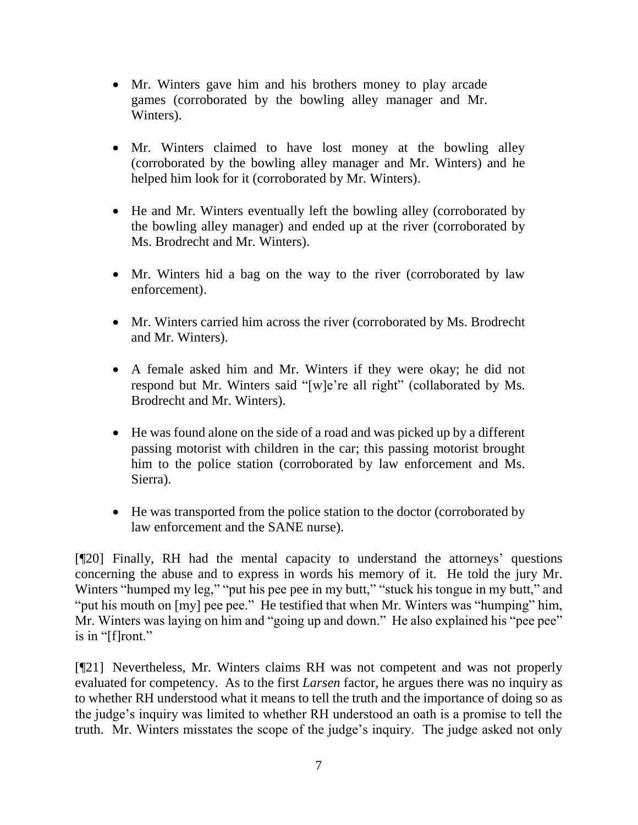- Mr. Winters gave him and his brothers money to play arcade games (corroborated by the bowling alley manager and Mr. Winters).
- Mr. Winters claimed to have lost money at the bowling alley (corroborated by the bowling alley manager and Mr. Winters) and he helped him look for it (corroborated by Mr. Winters).
- He and Mr. Winters eventually left the bowling alley (corroborated by the bowling alley manager) and ended up at the river (corroborated by Ms. Brodrecht and Mr. Winters).
- Mr. Winters hid a bag on the way to the river (corroborated by law enforcement).
- Mr. Winters carried him across the river (corroborated by Ms. Brodrecht and Mr. Winters).
- A female asked him and Mr. Winters if they were okay; he did not respond but Mr. Winters said "[w]e're all right" (collaborated by Ms. Brodrecht and Mr. Winters).
- He was found alone on the side of a road and was picked up by a different passing motorist with children in the car; this passing motorist brought him to the police station (corroborated by law enforcement and Ms. Sierra).
- He was transported from the police station to the doctor (corroborated by law enforcement and the SANE nurse).

[¶20] Finally, RH had the mental capacity to understand the attorneys' questions concerning the abuse and to express in words his memory of it. He told the jury Mr. Winters "humped my leg," "put his pee pee in my butt," "stuck his tongue in my butt," and "put his mouth on [my] pee pee." He testified that when Mr. Winters was "humping" him, Mr. Winters was laying on him and "going up and down." He also explained his "pee pee" is in "[f]ront."

[¶21] Nevertheless, Mr. Winters claims RH was not competent and was not properly evaluated for competency. As to the first *Larsen* factor, he argues there was no inquiry as to whether RH understood what it means to tell the truth and the importance of doing so as the judge's inquiry was limited to whether RH understood an oath is a promise to tell the truth. Mr. Winters misstates the scope of the judge's inquiry. The judge asked not only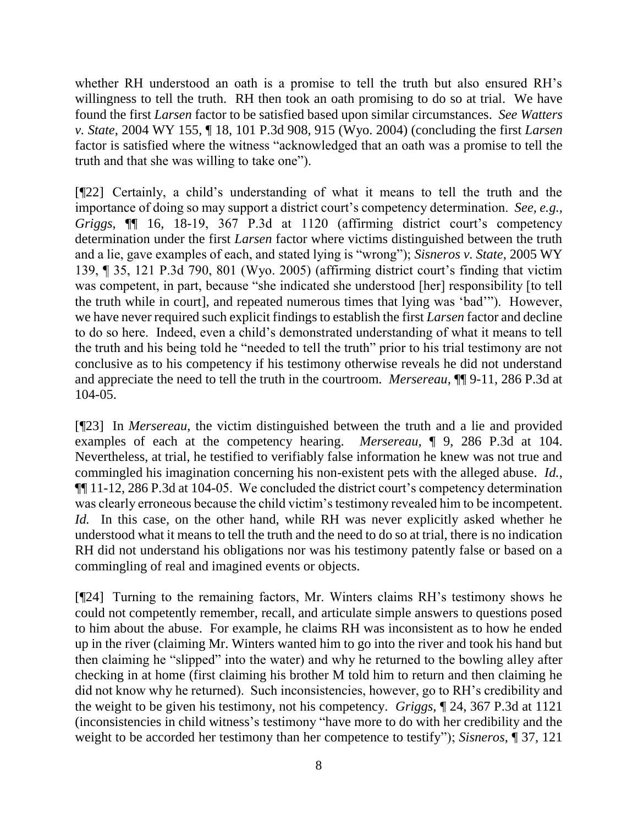whether RH understood an oath is a promise to tell the truth but also ensured RH's willingness to tell the truth. RH then took an oath promising to do so at trial. We have found the first *Larsen* factor to be satisfied based upon similar circumstances. *See Watters v. State*, 2004 WY 155, ¶ 18, 101 P.3d 908, 915 (Wyo. 2004) (concluding the first *Larsen* factor is satisfied where the witness "acknowledged that an oath was a promise to tell the truth and that she was willing to take one").

[¶22] Certainly, a child's understanding of what it means to tell the truth and the importance of doing so may support a district court's competency determination. *See, e.g., Griggs*, ¶¶ 16, 18-19, 367 P.3d at 1120 (affirming district court's competency determination under the first *Larsen* factor where victims distinguished between the truth and a lie, gave examples of each, and stated lying is "wrong"); *Sisneros v. State*, 2005 WY 139, ¶ 35, 121 P.3d 790, 801 (Wyo. 2005) (affirming district court's finding that victim was competent, in part, because "she indicated she understood [her] responsibility [to tell the truth while in court], and repeated numerous times that lying was 'bad'"). However, we have never required such explicit findings to establish the first *Larsen* factor and decline to do so here. Indeed, even a child's demonstrated understanding of what it means to tell the truth and his being told he "needed to tell the truth" prior to his trial testimony are not conclusive as to his competency if his testimony otherwise reveals he did not understand and appreciate the need to tell the truth in the courtroom. *Mersereau,* ¶¶ 9-11, 286 P.3d at 104-05.

[¶23] In *Mersereau*, the victim distinguished between the truth and a lie and provided examples of each at the competency hearing. *Mersereau,* ¶ 9, 286 P.3d at 104. Nevertheless, at trial, he testified to verifiably false information he knew was not true and commingled his imagination concerning his non-existent pets with the alleged abuse. *Id.*, ¶¶ 11-12, 286 P.3d at 104-05. We concluded the district court's competency determination was clearly erroneous because the child victim's testimony revealed him to be incompetent. *Id.* In this case, on the other hand, while RH was never explicitly asked whether he understood what it means to tell the truth and the need to do so at trial, there is no indication RH did not understand his obligations nor was his testimony patently false or based on a commingling of real and imagined events or objects.

[¶24] Turning to the remaining factors, Mr. Winters claims RH's testimony shows he could not competently remember, recall, and articulate simple answers to questions posed to him about the abuse. For example, he claims RH was inconsistent as to how he ended up in the river (claiming Mr. Winters wanted him to go into the river and took his hand but then claiming he "slipped" into the water) and why he returned to the bowling alley after checking in at home (first claiming his brother M told him to return and then claiming he did not know why he returned). Such inconsistencies, however, go to RH's credibility and the weight to be given his testimony, not his competency. *Griggs*, ¶ 24, 367 P.3d at 1121 (inconsistencies in child witness's testimony "have more to do with her credibility and the weight to be accorded her testimony than her competence to testify"); *Sisneros*, ¶ 37, 121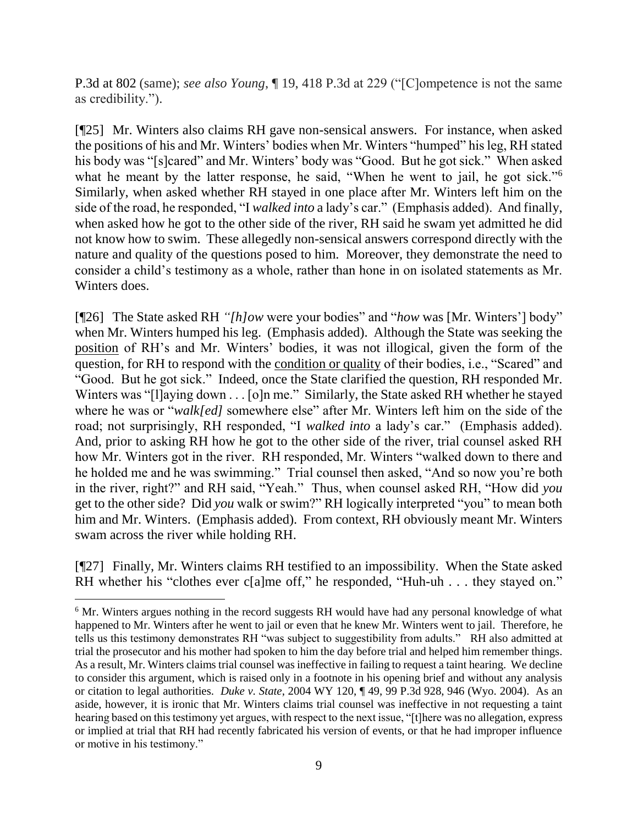P.3d at 802 (same); *see also Young*, ¶ 19, 418 P.3d at 229 ("[C]ompetence is not the same as credibility.").

[¶25] Mr. Winters also claims RH gave non-sensical answers. For instance, when asked the positions of his and Mr. Winters' bodies when Mr. Winters "humped" his leg, RH stated his body was "[s]cared" and Mr. Winters' body was "Good. But he got sick." When asked what he meant by the latter response, he said, "When he went to jail, he got sick."<sup>6</sup> Similarly, when asked whether RH stayed in one place after Mr. Winters left him on the side of the road, he responded, "I *walked into* a lady's car." (Emphasis added). And finally, when asked how he got to the other side of the river, RH said he swam yet admitted he did not know how to swim. These allegedly non-sensical answers correspond directly with the nature and quality of the questions posed to him. Moreover, they demonstrate the need to consider a child's testimony as a whole, rather than hone in on isolated statements as Mr. Winters does.

[¶26] The State asked RH *"[h]ow* were your bodies" and "*how* was [Mr. Winters'] body" when Mr. Winters humped his leg. (Emphasis added). Although the State was seeking the position of RH's and Mr. Winters' bodies, it was not illogical, given the form of the question, for RH to respond with the condition or quality of their bodies, i.e., "Scared" and "Good. But he got sick." Indeed, once the State clarified the question, RH responded Mr. Winters was "[l]aying down . . . [o]n me." Similarly, the State asked RH whether he stayed where he was or "*walk[ed]* somewhere else" after Mr. Winters left him on the side of the road; not surprisingly, RH responded, "I *walked into* a lady's car." (Emphasis added). And, prior to asking RH how he got to the other side of the river, trial counsel asked RH how Mr. Winters got in the river. RH responded, Mr. Winters "walked down to there and he holded me and he was swimming." Trial counsel then asked, "And so now you're both in the river, right?" and RH said, "Yeah." Thus, when counsel asked RH, "How did *you* get to the other side? Did *you* walk or swim?" RH logically interpreted "you" to mean both him and Mr. Winters. (Emphasis added). From context, RH obviously meant Mr. Winters swam across the river while holding RH.

[¶27] Finally, Mr. Winters claims RH testified to an impossibility. When the State asked RH whether his "clothes ever c[a]me off," he responded, "Huh-uh . . . they stayed on."

<sup>&</sup>lt;sup>6</sup> Mr. Winters argues nothing in the record suggests RH would have had any personal knowledge of what happened to Mr. Winters after he went to jail or even that he knew Mr. Winters went to jail. Therefore, he tells us this testimony demonstrates RH "was subject to suggestibility from adults." RH also admitted at trial the prosecutor and his mother had spoken to him the day before trial and helped him remember things. As a result, Mr. Winters claims trial counsel was ineffective in failing to request a taint hearing. We decline to consider this argument, which is raised only in a footnote in his opening brief and without any analysis or citation to legal authorities. *Duke v. State*, 2004 WY 120, ¶ 49, 99 P.3d 928, 946 (Wyo. 2004). As an aside, however, it is ironic that Mr. Winters claims trial counsel was ineffective in not requesting a taint hearing based on this testimony yet argues, with respect to the next issue, "[t]here was no allegation, express or implied at trial that RH had recently fabricated his version of events, or that he had improper influence or motive in his testimony."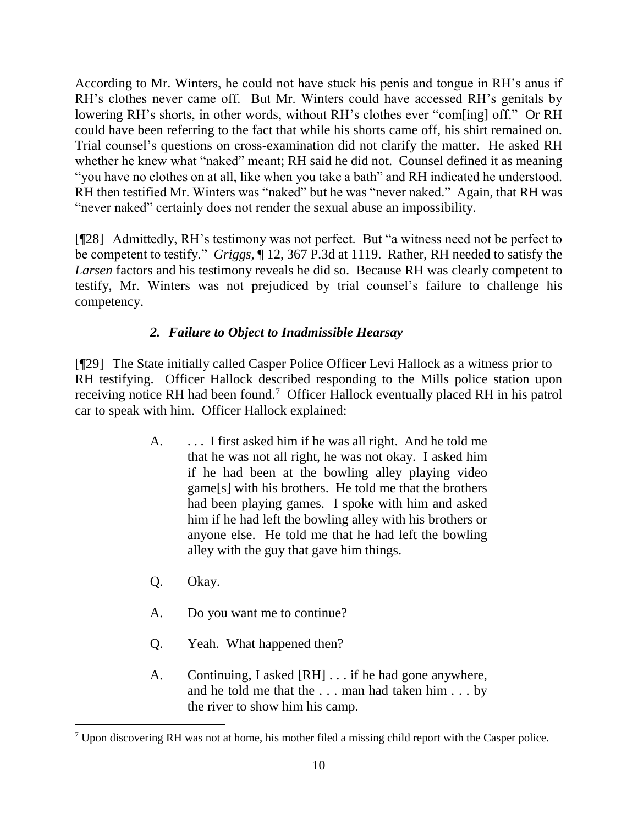According to Mr. Winters, he could not have stuck his penis and tongue in RH's anus if RH's clothes never came off. But Mr. Winters could have accessed RH's genitals by lowering RH's shorts, in other words, without RH's clothes ever "com[ing] off." Or RH could have been referring to the fact that while his shorts came off, his shirt remained on. Trial counsel's questions on cross-examination did not clarify the matter. He asked RH whether he knew what "naked" meant; RH said he did not. Counsel defined it as meaning "you have no clothes on at all, like when you take a bath" and RH indicated he understood. RH then testified Mr. Winters was "naked" but he was "never naked." Again, that RH was "never naked" certainly does not render the sexual abuse an impossibility.

[¶28] Admittedly, RH's testimony was not perfect. But "a witness need not be perfect to be competent to testify." *Griggs*, ¶ 12, 367 P.3d at 1119. Rather, RH needed to satisfy the *Larsen* factors and his testimony reveals he did so. Because RH was clearly competent to testify, Mr. Winters was not prejudiced by trial counsel's failure to challenge his competency.

# *2. Failure to Object to Inadmissible Hearsay*

[¶29] The State initially called Casper Police Officer Levi Hallock as a witness prior to RH testifying. Officer Hallock described responding to the Mills police station upon receiving notice RH had been found.<sup>7</sup> Officer Hallock eventually placed RH in his patrol car to speak with him. Officer Hallock explained:

- A. . . . I first asked him if he was all right. And he told me that he was not all right, he was not okay. I asked him if he had been at the bowling alley playing video game[s] with his brothers. He told me that the brothers had been playing games. I spoke with him and asked him if he had left the bowling alley with his brothers or anyone else. He told me that he had left the bowling alley with the guy that gave him things.
- Q. Okay.

- A. Do you want me to continue?
- Q. Yeah. What happened then?
- A. Continuing, I asked [RH] . . . if he had gone anywhere, and he told me that the . . . man had taken him . . . by the river to show him his camp.

<sup>7</sup> Upon discovering RH was not at home, his mother filed a missing child report with the Casper police.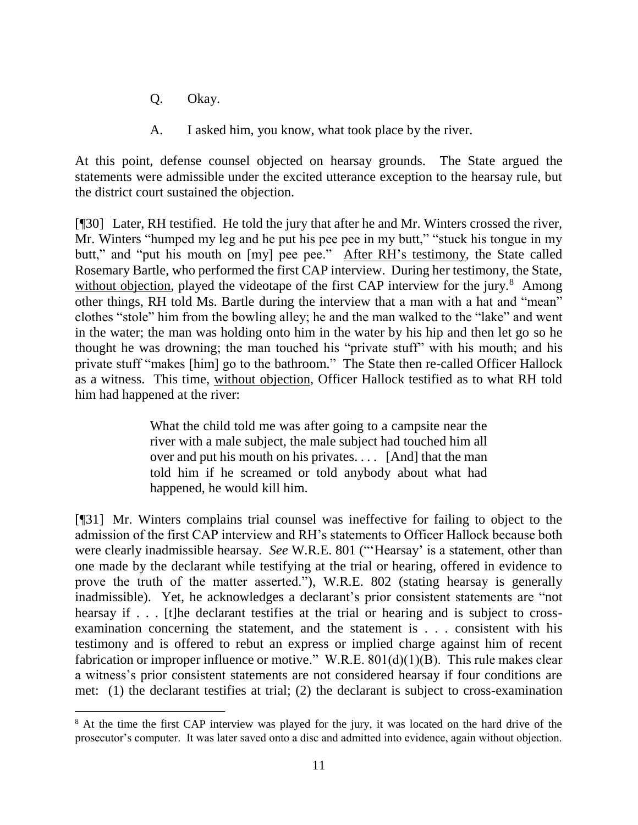Q. Okay.

l

A. I asked him, you know, what took place by the river.

At this point, defense counsel objected on hearsay grounds. The State argued the statements were admissible under the excited utterance exception to the hearsay rule, but the district court sustained the objection.

[¶30] Later, RH testified. He told the jury that after he and Mr. Winters crossed the river, Mr. Winters "humped my leg and he put his pee pee in my butt," "stuck his tongue in my butt," and "put his mouth on [my] pee pee." After RH's testimony, the State called Rosemary Bartle, who performed the first CAP interview. During her testimony, the State, without objection, played the videotape of the first CAP interview for the jury.<sup>8</sup> Among other things, RH told Ms. Bartle during the interview that a man with a hat and "mean" clothes "stole" him from the bowling alley; he and the man walked to the "lake" and went in the water; the man was holding onto him in the water by his hip and then let go so he thought he was drowning; the man touched his "private stuff" with his mouth; and his private stuff "makes [him] go to the bathroom." The State then re-called Officer Hallock as a witness. This time, without objection, Officer Hallock testified as to what RH told him had happened at the river:

> What the child told me was after going to a campsite near the river with a male subject, the male subject had touched him all over and put his mouth on his privates. . . . [And] that the man told him if he screamed or told anybody about what had happened, he would kill him.

[¶31] Mr. Winters complains trial counsel was ineffective for failing to object to the admission of the first CAP interview and RH's statements to Officer Hallock because both were clearly inadmissible hearsay. *See* W.R.E. 801 ("'Hearsay' is a statement, other than one made by the declarant while testifying at the trial or hearing, offered in evidence to prove the truth of the matter asserted."), W.R.E. 802 (stating hearsay is generally inadmissible). Yet, he acknowledges a declarant's prior consistent statements are "not hearsay if . . . [t]he declarant testifies at the trial or hearing and is subject to crossexamination concerning the statement, and the statement is . . . consistent with his testimony and is offered to rebut an express or implied charge against him of recent fabrication or improper influence or motive." W.R.E.  $801(d)(1)(B)$ . This rule makes clear a witness's prior consistent statements are not considered hearsay if four conditions are met: (1) the declarant testifies at trial; (2) the declarant is subject to cross-examination

<sup>&</sup>lt;sup>8</sup> At the time the first CAP interview was played for the jury, it was located on the hard drive of the prosecutor's computer. It was later saved onto a disc and admitted into evidence, again without objection.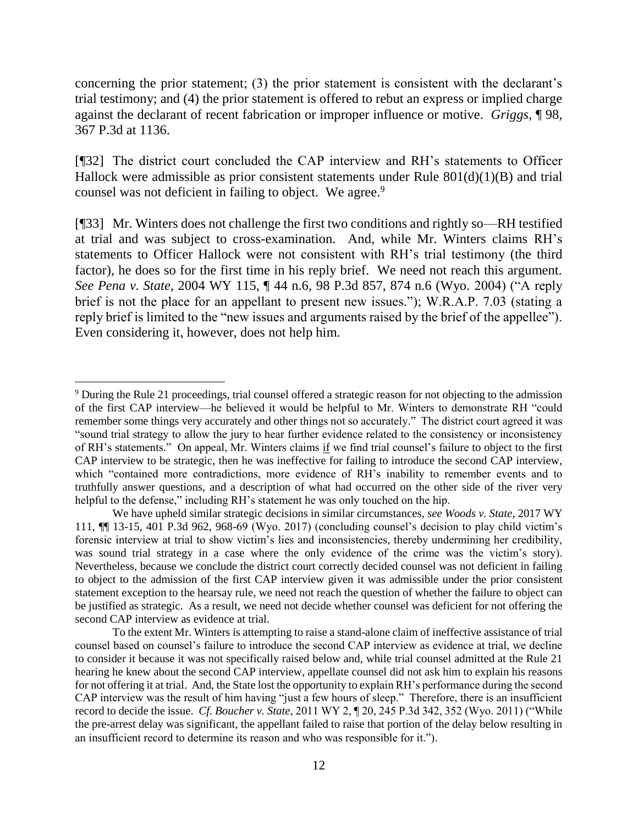concerning the prior statement; (3) the prior statement is consistent with the declarant's trial testimony; and (4) the prior statement is offered to rebut an express or implied charge against the declarant of recent fabrication or improper influence or motive. *Griggs*, ¶ 98, 367 P.3d at 1136.

[¶32] The district court concluded the CAP interview and RH's statements to Officer Hallock were admissible as prior consistent statements under Rule  $801(d)(1)(B)$  and trial counsel was not deficient in failing to object. We agree.<sup>9</sup>

[¶33] Mr. Winters does not challenge the first two conditions and rightly so—RH testified at trial and was subject to cross-examination. And, while Mr. Winters claims RH's statements to Officer Hallock were not consistent with RH's trial testimony (the third factor), he does so for the first time in his reply brief. We need not reach this argument. *See Pena v. State*, 2004 WY 115, ¶ 44 n.6, 98 P.3d 857, 874 n.6 (Wyo. 2004) ("A reply brief is not the place for an appellant to present new issues."); W.R.A.P. 7.03 (stating a reply brief is limited to the "new issues and arguments raised by the brief of the appellee"). Even considering it, however, does not help him.

<sup>9</sup> During the Rule 21 proceedings, trial counsel offered a strategic reason for not objecting to the admission of the first CAP interview—he believed it would be helpful to Mr. Winters to demonstrate RH "could remember some things very accurately and other things not so accurately." The district court agreed it was "sound trial strategy to allow the jury to hear further evidence related to the consistency or inconsistency of RH's statements." On appeal, Mr. Winters claims if we find trial counsel's failure to object to the first CAP interview to be strategic, then he was ineffective for failing to introduce the second CAP interview, which "contained more contradictions, more evidence of RH's inability to remember events and to truthfully answer questions, and a description of what had occurred on the other side of the river very helpful to the defense," including RH's statement he was only touched on the hip.

We have upheld similar strategic decisions in similar circumstances, *see Woods v. State*, 2017 WY 111, ¶¶ 13-15, 401 P.3d 962, 968-69 (Wyo. 2017) (concluding counsel's decision to play child victim's forensic interview at trial to show victim's lies and inconsistencies, thereby undermining her credibility, was sound trial strategy in a case where the only evidence of the crime was the victim's story). Nevertheless, because we conclude the district court correctly decided counsel was not deficient in failing to object to the admission of the first CAP interview given it was admissible under the prior consistent statement exception to the hearsay rule, we need not reach the question of whether the failure to object can be justified as strategic. As a result, we need not decide whether counsel was deficient for not offering the second CAP interview as evidence at trial.

To the extent Mr. Winters is attempting to raise a stand-alone claim of ineffective assistance of trial counsel based on counsel's failure to introduce the second CAP interview as evidence at trial, we decline to consider it because it was not specifically raised below and, while trial counsel admitted at the Rule 21 hearing he knew about the second CAP interview, appellate counsel did not ask him to explain his reasons for not offering it at trial. And, the State lost the opportunity to explain RH's performance during the second CAP interview was the result of him having "just a few hours of sleep." Therefore, there is an insufficient record to decide the issue. *Cf. Boucher v. State*, 2011 WY 2, ¶ 20, 245 P.3d 342, 352 (Wyo. 2011) ("While the pre-arrest delay was significant, the appellant failed to raise that portion of the delay below resulting in an insufficient record to determine its reason and who was responsible for it.").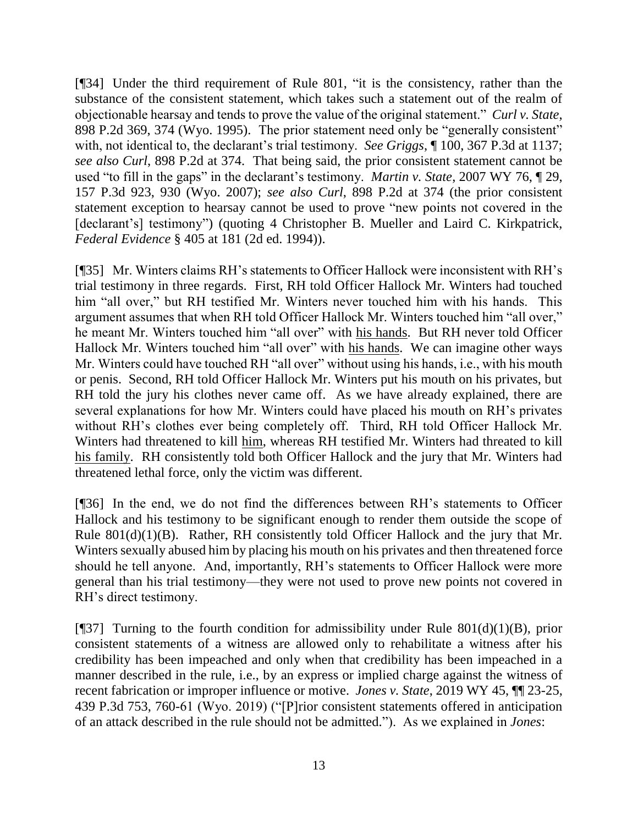[¶34] Under the third requirement of Rule 801, "it is the consistency, rather than the substance of the consistent statement, which takes such a statement out of the realm of objectionable hearsay and tends to prove the value of the original statement." *Curl v. State*, 898 P.2d 369, 374 (Wyo. 1995). The prior statement need only be "generally consistent" with, not identical to, the declarant's trial testimony. *See Griggs*, ¶ 100, 367 P.3d at 1137; *see also Curl*, 898 P.2d at 374. That being said, the prior consistent statement cannot be used "to fill in the gaps" in the declarant's testimony. *Martin v. State*, 2007 WY 76, ¶ 29, 157 P.3d 923, 930 (Wyo. 2007); *see also Curl*, 898 P.2d at 374 (the prior consistent statement exception to hearsay cannot be used to prove "new points not covered in the [declarant's] testimony") (quoting 4 Christopher B. Mueller and Laird C. Kirkpatrick, *Federal Evidence* § 405 at 181 (2d ed. 1994)).

[¶35] Mr. Winters claims RH's statements to Officer Hallock were inconsistent with RH's trial testimony in three regards. First, RH told Officer Hallock Mr. Winters had touched him "all over," but RH testified Mr. Winters never touched him with his hands. This argument assumes that when RH told Officer Hallock Mr. Winters touched him "all over," he meant Mr. Winters touched him "all over" with his hands. But RH never told Officer Hallock Mr. Winters touched him "all over" with his hands. We can imagine other ways Mr. Winters could have touched RH "all over" without using his hands, i.e., with his mouth or penis. Second, RH told Officer Hallock Mr. Winters put his mouth on his privates, but RH told the jury his clothes never came off. As we have already explained, there are several explanations for how Mr. Winters could have placed his mouth on RH's privates without RH's clothes ever being completely off. Third, RH told Officer Hallock Mr. Winters had threatened to kill him, whereas RH testified Mr. Winters had threated to kill his family. RH consistently told both Officer Hallock and the jury that Mr. Winters had threatened lethal force, only the victim was different.

[¶36] In the end, we do not find the differences between RH's statements to Officer Hallock and his testimony to be significant enough to render them outside the scope of Rule 801(d)(1)(B). Rather, RH consistently told Officer Hallock and the jury that Mr. Winters sexually abused him by placing his mouth on his privates and then threatened force should he tell anyone. And, importantly, RH's statements to Officer Hallock were more general than his trial testimony—they were not used to prove new points not covered in RH's direct testimony.

[ $[$ ]37] Turning to the fourth condition for admissibility under Rule 801(d)(1)(B), prior consistent statements of a witness are allowed only to rehabilitate a witness after his credibility has been impeached and only when that credibility has been impeached in a manner described in the rule, i.e., by an express or implied charge against the witness of recent fabrication or improper influence or motive. *Jones v. State*, 2019 WY 45, ¶¶ 23-25, 439 P.3d 753, 760-61 (Wyo. 2019) ("[P]rior consistent statements offered in anticipation of an attack described in the rule should not be admitted."). As we explained in *Jones*: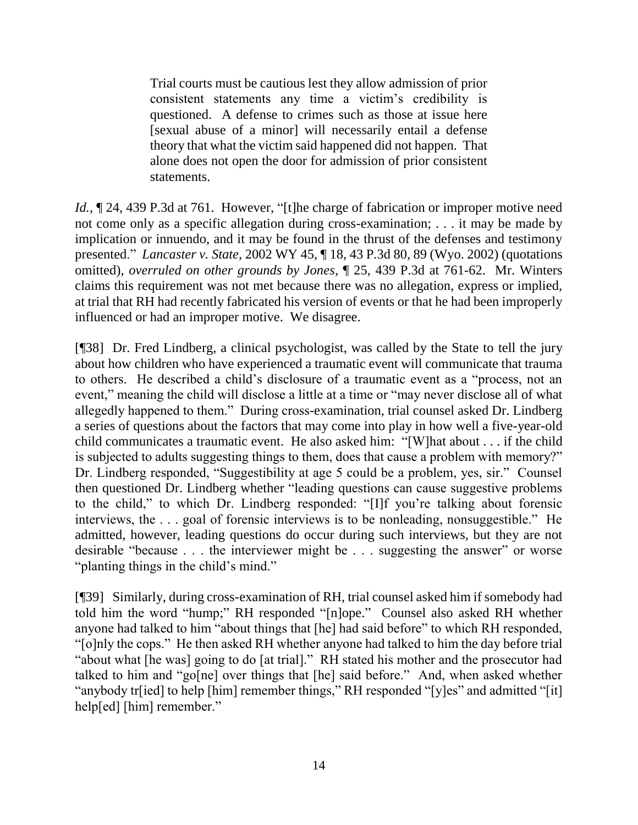Trial courts must be cautious lest they allow admission of prior consistent statements any time a victim's credibility is questioned. A defense to crimes such as those at issue here [sexual abuse of a minor] will necessarily entail a defense theory that what the victim said happened did not happen. That alone does not open the door for admission of prior consistent statements.

*Id.*,  $\sim$  24, 439 P.3d at 761. However, "[t]he charge of fabrication or improper motive need not come only as a specific allegation during cross-examination; . . . it may be made by implication or innuendo, and it may be found in the thrust of the defenses and testimony presented." *Lancaster v. State*, 2002 WY 45, ¶ 18, 43 P.3d 80, 89 (Wyo. 2002) (quotations omitted), *overruled on other grounds by Jones*, ¶ 25, 439 P.3d at 761-62. Mr. Winters claims this requirement was not met because there was no allegation, express or implied, at trial that RH had recently fabricated his version of events or that he had been improperly influenced or had an improper motive. We disagree.

[¶38] Dr. Fred Lindberg, a clinical psychologist, was called by the State to tell the jury about how children who have experienced a traumatic event will communicate that trauma to others. He described a child's disclosure of a traumatic event as a "process, not an event," meaning the child will disclose a little at a time or "may never disclose all of what allegedly happened to them." During cross-examination, trial counsel asked Dr. Lindberg a series of questions about the factors that may come into play in how well a five-year-old child communicates a traumatic event. He also asked him: "[W]hat about . . . if the child is subjected to adults suggesting things to them, does that cause a problem with memory?" Dr. Lindberg responded, "Suggestibility at age 5 could be a problem, yes, sir." Counsel then questioned Dr. Lindberg whether "leading questions can cause suggestive problems to the child," to which Dr. Lindberg responded: "[I]f you're talking about forensic interviews, the . . . goal of forensic interviews is to be nonleading, nonsuggestible." He admitted, however, leading questions do occur during such interviews, but they are not desirable "because . . . the interviewer might be . . . suggesting the answer" or worse "planting things in the child's mind."

[¶39] Similarly, during cross-examination of RH, trial counsel asked him if somebody had told him the word "hump;" RH responded "[n]ope." Counsel also asked RH whether anyone had talked to him "about things that [he] had said before" to which RH responded, "[o]nly the cops." He then asked RH whether anyone had talked to him the day before trial "about what [he was] going to do [at trial]." RH stated his mother and the prosecutor had talked to him and "go[ne] over things that [he] said before." And, when asked whether "anybody tr[ied] to help [him] remember things," RH responded "[y]es" and admitted "[it] help[ed] [him] remember."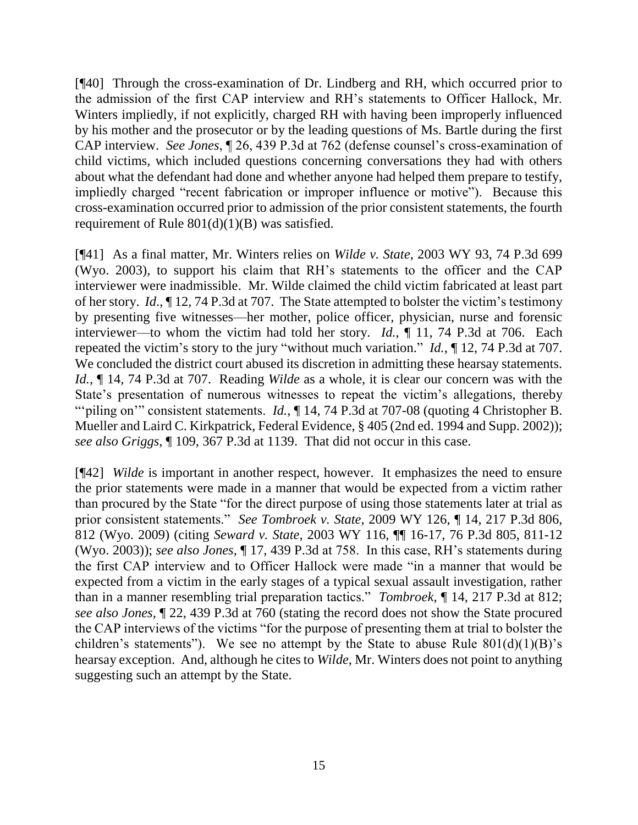[¶40] Through the cross-examination of Dr. Lindberg and RH, which occurred prior to the admission of the first CAP interview and RH's statements to Officer Hallock, Mr. Winters impliedly, if not explicitly, charged RH with having been improperly influenced by his mother and the prosecutor or by the leading questions of Ms. Bartle during the first CAP interview. *See Jones*, ¶ 26, 439 P.3d at 762 (defense counsel's cross-examination of child victims, which included questions concerning conversations they had with others about what the defendant had done and whether anyone had helped them prepare to testify, impliedly charged "recent fabrication or improper influence or motive"). Because this cross-examination occurred prior to admission of the prior consistent statements, the fourth requirement of Rule  $801(d)(1)(B)$  was satisfied.

[¶41] As a final matter, Mr. Winters relies on *Wilde v. State*, 2003 WY 93, 74 P.3d 699 (Wyo. 2003), to support his claim that RH's statements to the officer and the CAP interviewer were inadmissible. Mr. Wilde claimed the child victim fabricated at least part of her story. *Id*., ¶ 12, 74 P.3d at 707. The State attempted to bolster the victim's testimony by presenting five witnesses—her mother, police officer, physician, nurse and forensic interviewer—to whom the victim had told her story. *Id.*, ¶ 11, 74 P.3d at 706. Each repeated the victim's story to the jury "without much variation." *Id.*, ¶ 12, 74 P.3d at 707. We concluded the district court abused its discretion in admitting these hearsay statements. *Id.*, ¶ 14, 74 P.3d at 707. Reading *Wilde* as a whole, it is clear our concern was with the State's presentation of numerous witnesses to repeat the victim's allegations, thereby ""piling on" consistent statements. *Id.*,  $\P$  14, 74 P.3d at 707-08 (quoting 4 Christopher B. Mueller and Laird C. Kirkpatrick, Federal Evidence, § 405 (2nd ed. 1994 and Supp. 2002)); *see also Griggs*, ¶ 109, 367 P.3d at 1139. That did not occur in this case.

[¶42] *Wilde* is important in another respect, however. It emphasizes the need to ensure the prior statements were made in a manner that would be expected from a victim rather than procured by the State "for the direct purpose of using those statements later at trial as prior consistent statements." *See Tombroek v. State*, 2009 WY 126, ¶ 14, 217 P.3d 806, 812 (Wyo. 2009) (citing *Seward v. State*, 2003 WY 116, ¶¶ 16-17, 76 P.3d 805, 811-12 (Wyo. 2003)); *see also Jones*, ¶ 17, 439 P.3d at 758. In this case, RH's statements during the first CAP interview and to Officer Hallock were made "in a manner that would be expected from a victim in the early stages of a typical sexual assault investigation, rather than in a manner resembling trial preparation tactics." *Tombroek*, ¶ 14, 217 P.3d at 812; *see also Jones*, ¶ 22, 439 P.3d at 760 (stating the record does not show the State procured the CAP interviews of the victims "for the purpose of presenting them at trial to bolster the children's statements"). We see no attempt by the State to abuse Rule  $801(d)(1)(B)$ 's hearsay exception. And, although he cites to *Wilde*, Mr. Winters does not point to anything suggesting such an attempt by the State.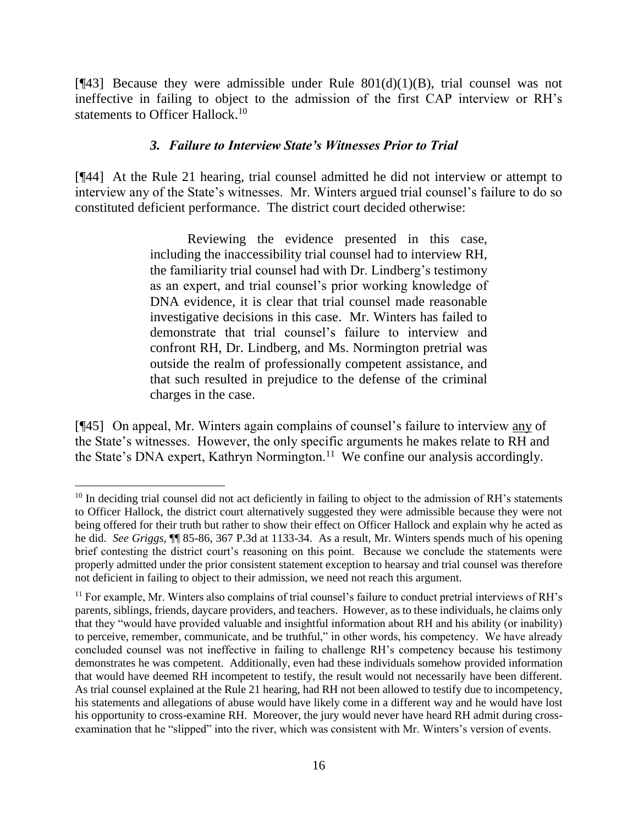[ $[43]$ ] Because they were admissible under Rule  $801(d)(1)(B)$ , trial counsel was not ineffective in failing to object to the admission of the first CAP interview or RH's statements to Officer Hallock.<sup>10</sup>

#### *3. Failure to Interview State's Witnesses Prior to Trial*

[¶44] At the Rule 21 hearing, trial counsel admitted he did not interview or attempt to interview any of the State's witnesses. Mr. Winters argued trial counsel's failure to do so constituted deficient performance. The district court decided otherwise:

> Reviewing the evidence presented in this case, including the inaccessibility trial counsel had to interview RH, the familiarity trial counsel had with Dr. Lindberg's testimony as an expert, and trial counsel's prior working knowledge of DNA evidence, it is clear that trial counsel made reasonable investigative decisions in this case. Mr. Winters has failed to demonstrate that trial counsel's failure to interview and confront RH, Dr. Lindberg, and Ms. Normington pretrial was outside the realm of professionally competent assistance, and that such resulted in prejudice to the defense of the criminal charges in the case.

[¶45] On appeal, Mr. Winters again complains of counsel's failure to interview any of the State's witnesses. However, the only specific arguments he makes relate to RH and the State's DNA expert, Kathryn Normington.<sup>11</sup> We confine our analysis accordingly.

l

<sup>&</sup>lt;sup>10</sup> In deciding trial counsel did not act deficiently in failing to object to the admission of RH's statements to Officer Hallock, the district court alternatively suggested they were admissible because they were not being offered for their truth but rather to show their effect on Officer Hallock and explain why he acted as he did. *See Griggs*, ¶¶ 85-86, 367 P.3d at 1133-34. As a result, Mr. Winters spends much of his opening brief contesting the district court's reasoning on this point. Because we conclude the statements were properly admitted under the prior consistent statement exception to hearsay and trial counsel was therefore not deficient in failing to object to their admission, we need not reach this argument.

<sup>11</sup> For example, Mr. Winters also complains of trial counsel's failure to conduct pretrial interviews of RH's parents, siblings, friends, daycare providers, and teachers. However, as to these individuals, he claims only that they "would have provided valuable and insightful information about RH and his ability (or inability) to perceive, remember, communicate, and be truthful," in other words, his competency. We have already concluded counsel was not ineffective in failing to challenge RH's competency because his testimony demonstrates he was competent. Additionally, even had these individuals somehow provided information that would have deemed RH incompetent to testify, the result would not necessarily have been different. As trial counsel explained at the Rule 21 hearing, had RH not been allowed to testify due to incompetency, his statements and allegations of abuse would have likely come in a different way and he would have lost his opportunity to cross-examine RH. Moreover, the jury would never have heard RH admit during crossexamination that he "slipped" into the river, which was consistent with Mr. Winters's version of events.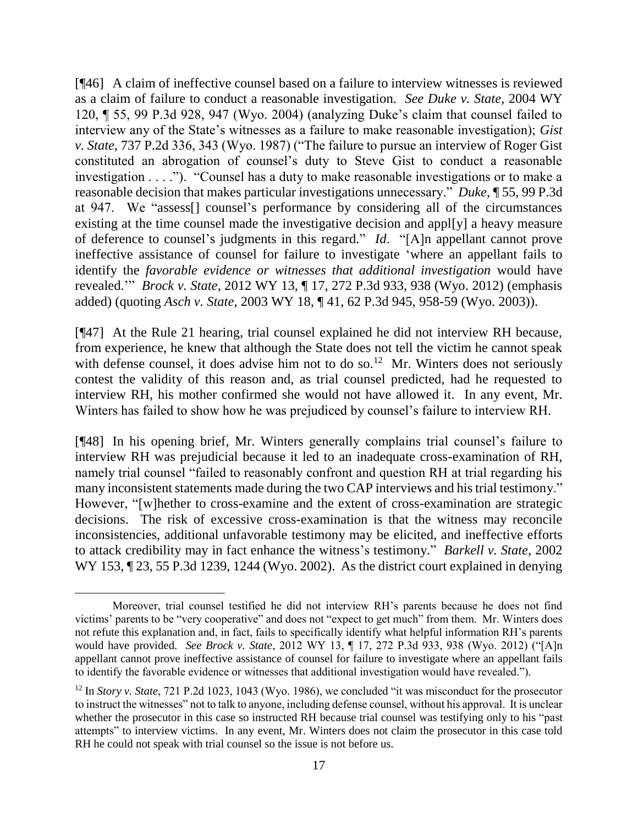[¶46] A claim of ineffective counsel based on a failure to interview witnesses is reviewed as a claim of failure to conduct a reasonable investigation. *See Duke v. State*, 2004 WY 120, ¶ 55, 99 P.3d 928, 947 (Wyo. 2004) (analyzing Duke's claim that counsel failed to interview any of the State's witnesses as a failure to make reasonable investigation); *Gist v. State*, 737 P.2d 336, 343 (Wyo. 1987) ("The failure to pursue an interview of Roger Gist constituted an abrogation of counsel's duty to Steve Gist to conduct a reasonable investigation . . . ."). "Counsel has a duty to make reasonable investigations or to make a reasonable decision that makes particular investigations unnecessary." *Duke*, ¶ 55, 99 P.3d at 947. We "assess[] counsel's performance by considering all of the circumstances existing at the time counsel made the investigative decision and appl[y] a heavy measure of deference to counsel's judgments in this regard." *Id*. "[A]n appellant cannot prove ineffective assistance of counsel for failure to investigate 'where an appellant fails to identify the *favorable evidence or witnesses that additional investigation* would have revealed.'" *Brock v. State*, 2012 WY 13, ¶ 17, 272 P.3d 933, 938 (Wyo. 2012) (emphasis added) (quoting *Asch v. State*, 2003 WY 18, ¶ 41, 62 P.3d 945, 958-59 (Wyo. 2003)).

[¶47] At the Rule 21 hearing, trial counsel explained he did not interview RH because, from experience, he knew that although the State does not tell the victim he cannot speak with defense counsel, it does advise him not to do so.<sup>12</sup> Mr. Winters does not seriously contest the validity of this reason and, as trial counsel predicted, had he requested to interview RH, his mother confirmed she would not have allowed it. In any event, Mr. Winters has failed to show how he was prejudiced by counsel's failure to interview RH.

[¶48] In his opening brief, Mr. Winters generally complains trial counsel's failure to interview RH was prejudicial because it led to an inadequate cross-examination of RH, namely trial counsel "failed to reasonably confront and question RH at trial regarding his many inconsistent statements made during the two CAP interviews and his trial testimony." However, "[w]hether to cross-examine and the extent of cross-examination are strategic decisions. The risk of excessive cross-examination is that the witness may reconcile inconsistencies, additional unfavorable testimony may be elicited, and ineffective efforts to attack credibility may in fact enhance the witness's testimony." *Barkell v. State*, 2002 WY 153, ¶ 23, 55 P.3d 1239, 1244 (Wyo. 2002). As the district court explained in denying

Moreover, trial counsel testified he did not interview RH's parents because he does not find victims' parents to be "very cooperative" and does not "expect to get much" from them. Mr. Winters does not refute this explanation and, in fact, fails to specifically identify what helpful information RH's parents would have provided. *See Brock v. State*, 2012 WY 13, ¶ 17, 272 P.3d 933, 938 (Wyo. 2012) ("[A]n appellant cannot prove ineffective assistance of counsel for failure to investigate where an appellant fails to identify the favorable evidence or witnesses that additional investigation would have revealed.").

<sup>&</sup>lt;sup>12</sup> In *Story v. State*, 721 P.2d 1023, 1043 (Wyo. 1986), we concluded "it was misconduct for the prosecutor" to instruct the witnesses" not to talk to anyone, including defense counsel, without his approval. It is unclear whether the prosecutor in this case so instructed RH because trial counsel was testifying only to his "past" attempts" to interview victims. In any event, Mr. Winters does not claim the prosecutor in this case told RH he could not speak with trial counsel so the issue is not before us.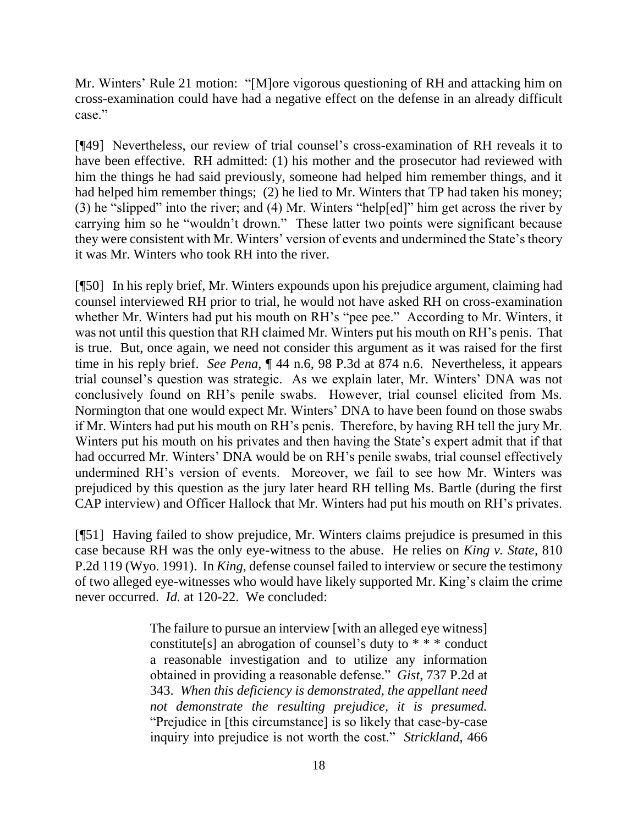Mr. Winters' Rule 21 motion: "[M]ore vigorous questioning of RH and attacking him on cross-examination could have had a negative effect on the defense in an already difficult case."

[¶49] Nevertheless, our review of trial counsel's cross-examination of RH reveals it to have been effective. RH admitted: (1) his mother and the prosecutor had reviewed with him the things he had said previously, someone had helped him remember things, and it had helped him remember things; (2) he lied to Mr. Winters that TP had taken his money; (3) he "slipped" into the river; and (4) Mr. Winters "help[ed]" him get across the river by carrying him so he "wouldn't drown." These latter two points were significant because they were consistent with Mr. Winters' version of events and undermined the State's theory it was Mr. Winters who took RH into the river.

[¶50] In his reply brief, Mr. Winters expounds upon his prejudice argument, claiming had counsel interviewed RH prior to trial, he would not have asked RH on cross-examination whether Mr. Winters had put his mouth on RH's "pee pee." According to Mr. Winters, it was not until this question that RH claimed Mr. Winters put his mouth on RH's penis. That is true. But, once again, we need not consider this argument as it was raised for the first time in his reply brief. *See Pena*, ¶ 44 n.6, 98 P.3d at 874 n.6. Nevertheless, it appears trial counsel's question was strategic. As we explain later, Mr. Winters' DNA was not conclusively found on RH's penile swabs. However, trial counsel elicited from Ms. Normington that one would expect Mr. Winters' DNA to have been found on those swabs if Mr. Winters had put his mouth on RH's penis. Therefore, by having RH tell the jury Mr. Winters put his mouth on his privates and then having the State's expert admit that if that had occurred Mr. Winters' DNA would be on RH's penile swabs, trial counsel effectively undermined RH's version of events. Moreover, we fail to see how Mr. Winters was prejudiced by this question as the jury later heard RH telling Ms. Bartle (during the first CAP interview) and Officer Hallock that Mr. Winters had put his mouth on RH's privates.

[¶51] Having failed to show prejudice, Mr. Winters claims prejudice is presumed in this case because RH was the only eye-witness to the abuse. He relies on *King v. State*, 810 P.2d 119 (Wyo. 1991). In *King*, defense counsel failed to interview or secure the testimony of two alleged eye-witnesses who would have likely supported Mr. King's claim the crime never occurred. *Id.* at 120-22. We concluded:

> The failure to pursue an interview [with an alleged eye witness] constitute[s] an abrogation of counsel's duty to \* \* \* conduct a reasonable investigation and to utilize any information obtained in providing a reasonable defense." *Gist*, 737 P.2d at 343. *When this deficiency is demonstrated, the appellant need not demonstrate the resulting prejudice, it is presumed.* "Prejudice in [this circumstance] is so likely that case-by-case inquiry into prejudice is not worth the cost." *Strickland*, 466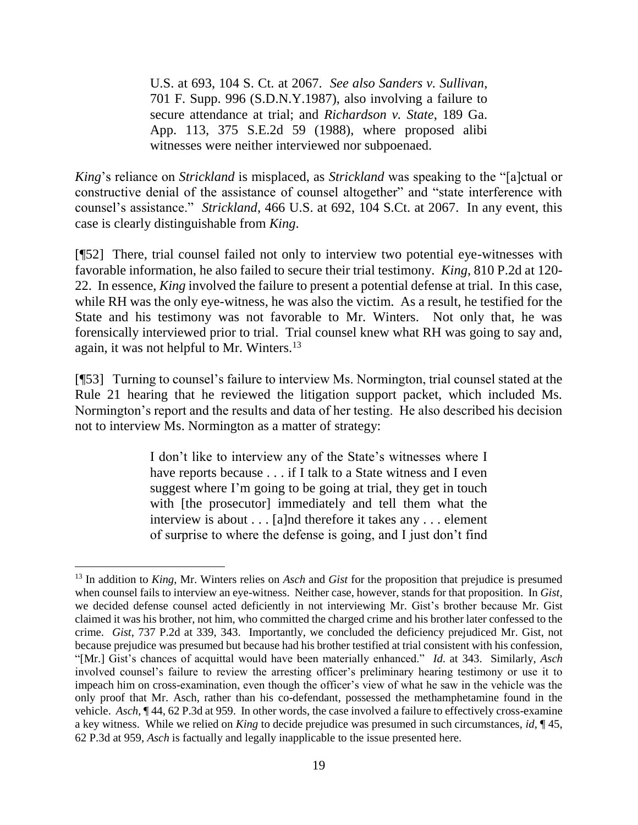U.S. at 693, 104 S. Ct. at 2067. *See also Sanders v. Sullivan*, 701 F. Supp. 996 (S.D.N.Y.1987), also involving a failure to secure attendance at trial; and *Richardson v. State*, 189 Ga. App. 113, 375 S.E.2d 59 (1988), where proposed alibi witnesses were neither interviewed nor subpoenaed.

*King*'s reliance on *Strickland* is misplaced, as *Strickland* was speaking to the "[a]ctual or constructive denial of the assistance of counsel altogether" and "state interference with counsel's assistance." *Strickland*, 466 U.S. at 692, 104 S.Ct. at 2067. In any event, this case is clearly distinguishable from *King*.

[¶52] There, trial counsel failed not only to interview two potential eye-witnesses with favorable information, he also failed to secure their trial testimony. *King*, 810 P.2d at 120- 22. In essence, *King* involved the failure to present a potential defense at trial. In this case, while RH was the only eye-witness, he was also the victim. As a result, he testified for the State and his testimony was not favorable to Mr. Winters. Not only that, he was forensically interviewed prior to trial. Trial counsel knew what RH was going to say and, again, it was not helpful to Mr. Winters.<sup>13</sup>

[¶53] Turning to counsel's failure to interview Ms. Normington, trial counsel stated at the Rule 21 hearing that he reviewed the litigation support packet, which included Ms. Normington's report and the results and data of her testing. He also described his decision not to interview Ms. Normington as a matter of strategy:

> I don't like to interview any of the State's witnesses where I have reports because . . . if I talk to a State witness and I even suggest where I'm going to be going at trial, they get in touch with [the prosecutor] immediately and tell them what the interview is about . . . [a]nd therefore it takes any . . . element of surprise to where the defense is going, and I just don't find

l

<sup>13</sup> In addition to *King*, Mr. Winters relies on *Asch* and *Gist* for the proposition that prejudice is presumed when counsel fails to interview an eye-witness. Neither case, however, stands for that proposition. In *Gist*, we decided defense counsel acted deficiently in not interviewing Mr. Gist's brother because Mr. Gist claimed it was his brother, not him, who committed the charged crime and his brother later confessed to the crime. *Gist*, 737 P.2d at 339, 343. Importantly, we concluded the deficiency prejudiced Mr. Gist, not because prejudice was presumed but because had his brother testified at trial consistent with his confession, "[Mr.] Gist's chances of acquittal would have been materially enhanced." *Id*. at 343. Similarly, *Asch* involved counsel's failure to review the arresting officer's preliminary hearing testimony or use it to impeach him on cross-examination, even though the officer's view of what he saw in the vehicle was the only proof that Mr. Asch, rather than his co-defendant, possessed the methamphetamine found in the vehicle. *Asch*, ¶ 44, 62 P.3d at 959. In other words, the case involved a failure to effectively cross-examine a key witness. While we relied on *King* to decide prejudice was presumed in such circumstances, *id*, ¶ 45, 62 P.3d at 959, *Asch* is factually and legally inapplicable to the issue presented here.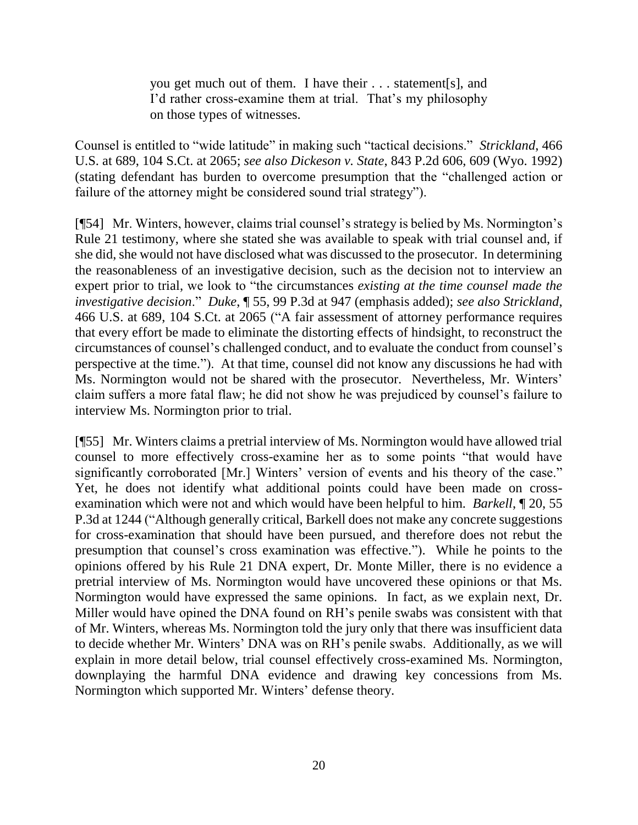you get much out of them. I have their . . . statement[s], and I'd rather cross-examine them at trial. That's my philosophy on those types of witnesses.

Counsel is entitled to "wide latitude" in making such "tactical decisions." *Strickland*, 466 U.S. at 689, 104 S.Ct. at 2065; *see also Dickeson v. State*, 843 P.2d 606, 609 (Wyo. 1992) (stating defendant has burden to overcome presumption that the "challenged action or failure of the attorney might be considered sound trial strategy").

[¶54] Mr. Winters, however, claims trial counsel's strategy is belied by Ms. Normington's Rule 21 testimony, where she stated she was available to speak with trial counsel and, if she did, she would not have disclosed what was discussed to the prosecutor. In determining the reasonableness of an investigative decision, such as the decision not to interview an expert prior to trial, we look to "the circumstances *existing at the time counsel made the investigative decision*." *Duke*, ¶ 55, 99 P.3d at 947 (emphasis added); *see also Strickland*, 466 U.S. at 689, 104 S.Ct. at 2065 ("A fair assessment of attorney performance requires that every effort be made to eliminate the distorting effects of hindsight, to reconstruct the circumstances of counsel's challenged conduct, and to evaluate the conduct from counsel's perspective at the time."). At that time, counsel did not know any discussions he had with Ms. Normington would not be shared with the prosecutor. Nevertheless, Mr. Winters' claim suffers a more fatal flaw; he did not show he was prejudiced by counsel's failure to interview Ms. Normington prior to trial.

[¶55] Mr. Winters claims a pretrial interview of Ms. Normington would have allowed trial counsel to more effectively cross-examine her as to some points "that would have significantly corroborated [Mr.] Winters' version of events and his theory of the case." Yet, he does not identify what additional points could have been made on crossexamination which were not and which would have been helpful to him. *Barkell*, ¶ 20, 55 P.3d at 1244 ("Although generally critical, Barkell does not make any concrete suggestions for cross-examination that should have been pursued, and therefore does not rebut the presumption that counsel's cross examination was effective."). While he points to the opinions offered by his Rule 21 DNA expert, Dr. Monte Miller, there is no evidence a pretrial interview of Ms. Normington would have uncovered these opinions or that Ms. Normington would have expressed the same opinions. In fact, as we explain next, Dr. Miller would have opined the DNA found on RH's penile swabs was consistent with that of Mr. Winters, whereas Ms. Normington told the jury only that there was insufficient data to decide whether Mr. Winters' DNA was on RH's penile swabs. Additionally, as we will explain in more detail below, trial counsel effectively cross-examined Ms. Normington, downplaying the harmful DNA evidence and drawing key concessions from Ms. Normington which supported Mr. Winters' defense theory.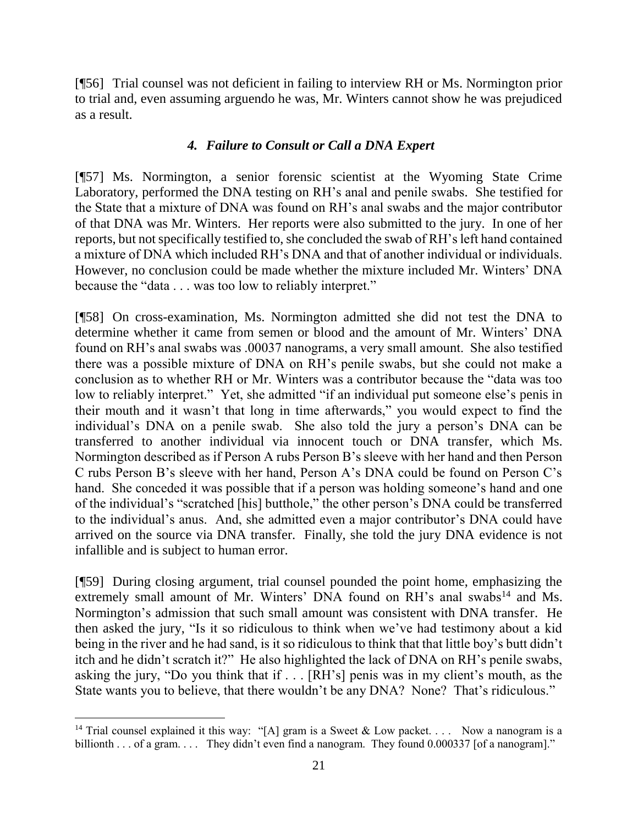[¶56] Trial counsel was not deficient in failing to interview RH or Ms. Normington prior to trial and, even assuming arguendo he was, Mr. Winters cannot show he was prejudiced as a result.

## *4. Failure to Consult or Call a DNA Expert*

[¶57] Ms. Normington, a senior forensic scientist at the Wyoming State Crime Laboratory, performed the DNA testing on RH's anal and penile swabs. She testified for the State that a mixture of DNA was found on RH's anal swabs and the major contributor of that DNA was Mr. Winters. Her reports were also submitted to the jury. In one of her reports, but not specifically testified to, she concluded the swab of RH's left hand contained a mixture of DNA which included RH's DNA and that of another individual or individuals. However, no conclusion could be made whether the mixture included Mr. Winters' DNA because the "data . . . was too low to reliably interpret."

[¶58] On cross-examination, Ms. Normington admitted she did not test the DNA to determine whether it came from semen or blood and the amount of Mr. Winters' DNA found on RH's anal swabs was .00037 nanograms, a very small amount. She also testified there was a possible mixture of DNA on RH's penile swabs, but she could not make a conclusion as to whether RH or Mr. Winters was a contributor because the "data was too low to reliably interpret." Yet, she admitted "if an individual put someone else's penis in their mouth and it wasn't that long in time afterwards," you would expect to find the individual's DNA on a penile swab. She also told the jury a person's DNA can be transferred to another individual via innocent touch or DNA transfer, which Ms. Normington described as if Person A rubs Person B's sleeve with her hand and then Person C rubs Person B's sleeve with her hand, Person A's DNA could be found on Person C's hand. She conceded it was possible that if a person was holding someone's hand and one of the individual's "scratched [his] butthole," the other person's DNA could be transferred to the individual's anus. And, she admitted even a major contributor's DNA could have arrived on the source via DNA transfer. Finally, she told the jury DNA evidence is not infallible and is subject to human error.

[¶59] During closing argument, trial counsel pounded the point home, emphasizing the extremely small amount of Mr. Winters' DNA found on  $RH$ 's anal swabs<sup>14</sup> and Ms. Normington's admission that such small amount was consistent with DNA transfer. He then asked the jury, "Is it so ridiculous to think when we've had testimony about a kid being in the river and he had sand, is it so ridiculous to think that that little boy's butt didn't itch and he didn't scratch it?" He also highlighted the lack of DNA on RH's penile swabs, asking the jury, "Do you think that if . . . [RH's] penis was in my client's mouth, as the State wants you to believe, that there wouldn't be any DNA? None? That's ridiculous."

l

<sup>&</sup>lt;sup>14</sup> Trial counsel explained it this way: "[A] gram is a Sweet & Low packet. . . . Now a nanogram is a billionth . . . of a gram. . . . They didn't even find a nanogram. They found 0.000337 [of a nanogram]."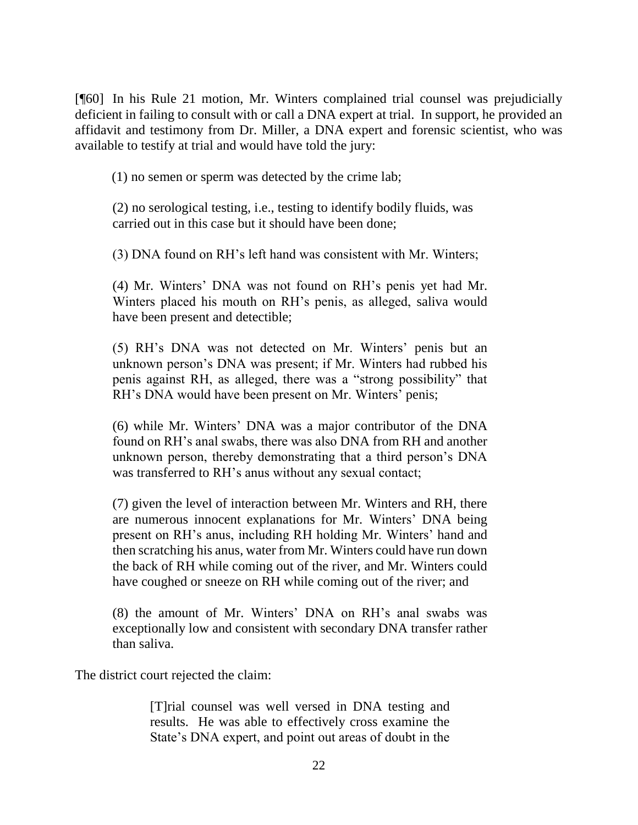[¶60] In his Rule 21 motion, Mr. Winters complained trial counsel was prejudicially deficient in failing to consult with or call a DNA expert at trial. In support, he provided an affidavit and testimony from Dr. Miller, a DNA expert and forensic scientist, who was available to testify at trial and would have told the jury:

(1) no semen or sperm was detected by the crime lab;

(2) no serological testing, i.e., testing to identify bodily fluids, was carried out in this case but it should have been done;

(3) DNA found on RH's left hand was consistent with Mr. Winters;

(4) Mr. Winters' DNA was not found on RH's penis yet had Mr. Winters placed his mouth on RH's penis, as alleged, saliva would have been present and detectible;

(5) RH's DNA was not detected on Mr. Winters' penis but an unknown person's DNA was present; if Mr. Winters had rubbed his penis against RH, as alleged, there was a "strong possibility" that RH's DNA would have been present on Mr. Winters' penis;

(6) while Mr. Winters' DNA was a major contributor of the DNA found on RH's anal swabs, there was also DNA from RH and another unknown person, thereby demonstrating that a third person's DNA was transferred to RH's anus without any sexual contact;

(7) given the level of interaction between Mr. Winters and RH, there are numerous innocent explanations for Mr. Winters' DNA being present on RH's anus, including RH holding Mr. Winters' hand and then scratching his anus, water from Mr. Winters could have run down the back of RH while coming out of the river, and Mr. Winters could have coughed or sneeze on RH while coming out of the river; and

(8) the amount of Mr. Winters' DNA on RH's anal swabs was exceptionally low and consistent with secondary DNA transfer rather than saliva.

The district court rejected the claim:

[T]rial counsel was well versed in DNA testing and results. He was able to effectively cross examine the State's DNA expert, and point out areas of doubt in the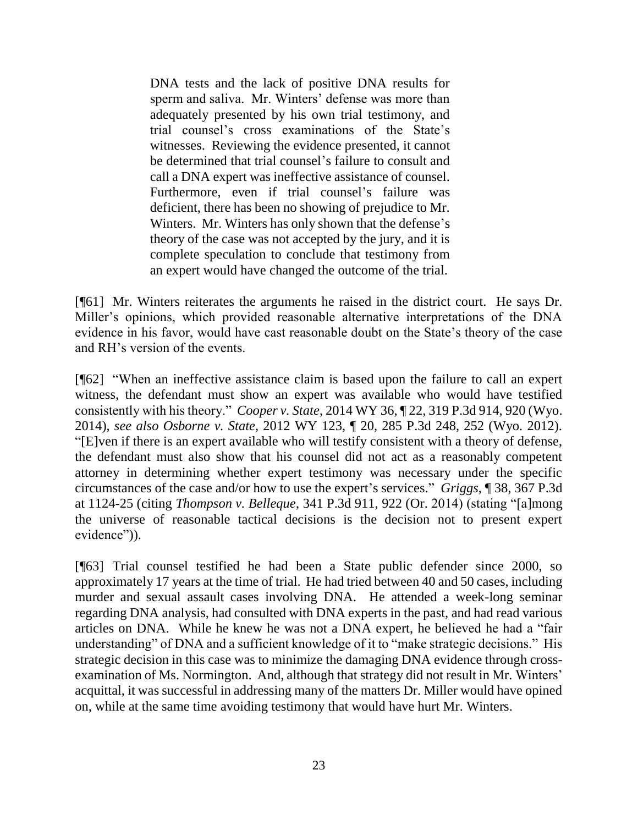DNA tests and the lack of positive DNA results for sperm and saliva. Mr. Winters' defense was more than adequately presented by his own trial testimony, and trial counsel's cross examinations of the State's witnesses. Reviewing the evidence presented, it cannot be determined that trial counsel's failure to consult and call a DNA expert was ineffective assistance of counsel. Furthermore, even if trial counsel's failure was deficient, there has been no showing of prejudice to Mr. Winters. Mr. Winters has only shown that the defense's theory of the case was not accepted by the jury, and it is complete speculation to conclude that testimony from an expert would have changed the outcome of the trial.

[¶61] Mr. Winters reiterates the arguments he raised in the district court. He says Dr. Miller's opinions, which provided reasonable alternative interpretations of the DNA evidence in his favor, would have cast reasonable doubt on the State's theory of the case and RH's version of the events.

[¶62] "When an ineffective assistance claim is based upon the failure to call an expert witness, the defendant must show an expert was available who would have testified consistently with his theory." *Cooper v. State*, 2014 WY 36, ¶ 22, 319 P.3d 914, 920 (Wyo. 2014), *see also Osborne v. State*, 2012 WY 123, ¶ 20, 285 P.3d 248, 252 (Wyo. 2012). "[E]ven if there is an expert available who will testify consistent with a theory of defense, the defendant must also show that his counsel did not act as a reasonably competent attorney in determining whether expert testimony was necessary under the specific circumstances of the case and/or how to use the expert's services." *Griggs*, ¶ 38, 367 P.3d at 1124-25 (citing *Thompson v. Belleque*, 341 P.3d 911, 922 (Or. 2014) (stating "[a]mong the universe of reasonable tactical decisions is the decision not to present expert evidence")).

[¶63] Trial counsel testified he had been a State public defender since 2000, so approximately 17 years at the time of trial. He had tried between 40 and 50 cases, including murder and sexual assault cases involving DNA. He attended a week-long seminar regarding DNA analysis, had consulted with DNA experts in the past, and had read various articles on DNA. While he knew he was not a DNA expert, he believed he had a "fair understanding" of DNA and a sufficient knowledge of it to "make strategic decisions." His strategic decision in this case was to minimize the damaging DNA evidence through crossexamination of Ms. Normington. And, although that strategy did not result in Mr. Winters' acquittal, it was successful in addressing many of the matters Dr. Miller would have opined on, while at the same time avoiding testimony that would have hurt Mr. Winters.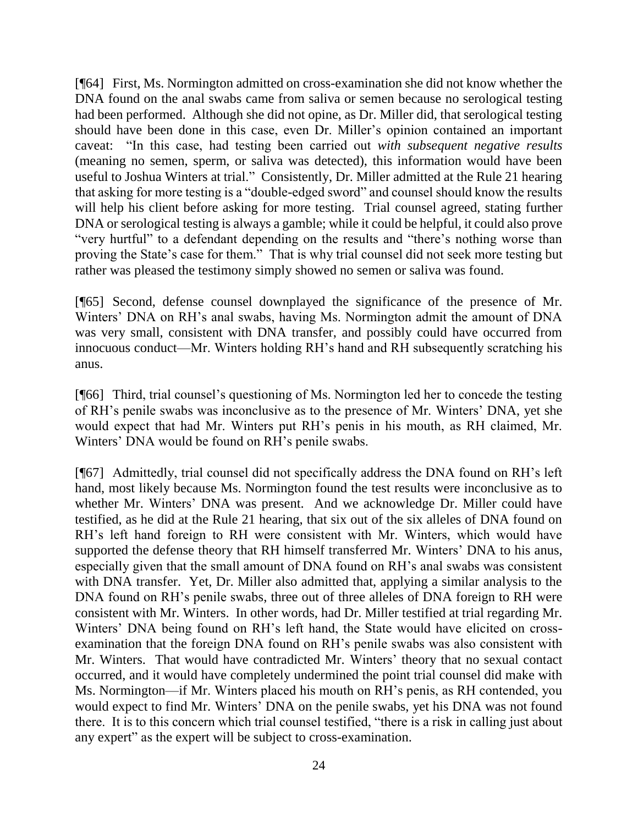[¶64] First, Ms. Normington admitted on cross-examination she did not know whether the DNA found on the anal swabs came from saliva or semen because no serological testing had been performed. Although she did not opine, as Dr. Miller did, that serological testing should have been done in this case, even Dr. Miller's opinion contained an important caveat: "In this case, had testing been carried out *with subsequent negative results* (meaning no semen, sperm, or saliva was detected), this information would have been useful to Joshua Winters at trial." Consistently, Dr. Miller admitted at the Rule 21 hearing that asking for more testing is a "double-edged sword" and counsel should know the results will help his client before asking for more testing. Trial counsel agreed, stating further DNA or serological testing is always a gamble; while it could be helpful, it could also prove "very hurtful" to a defendant depending on the results and "there's nothing worse than proving the State's case for them." That is why trial counsel did not seek more testing but rather was pleased the testimony simply showed no semen or saliva was found.

[¶65] Second, defense counsel downplayed the significance of the presence of Mr. Winters' DNA on RH's anal swabs, having Ms. Normington admit the amount of DNA was very small, consistent with DNA transfer, and possibly could have occurred from innocuous conduct—Mr. Winters holding RH's hand and RH subsequently scratching his anus.

[¶66] Third, trial counsel's questioning of Ms. Normington led her to concede the testing of RH's penile swabs was inconclusive as to the presence of Mr. Winters' DNA, yet she would expect that had Mr. Winters put RH's penis in his mouth, as RH claimed, Mr. Winters' DNA would be found on RH's penile swabs.

[¶67] Admittedly, trial counsel did not specifically address the DNA found on RH's left hand, most likely because Ms. Normington found the test results were inconclusive as to whether Mr. Winters' DNA was present. And we acknowledge Dr. Miller could have testified, as he did at the Rule 21 hearing, that six out of the six alleles of DNA found on RH's left hand foreign to RH were consistent with Mr. Winters, which would have supported the defense theory that RH himself transferred Mr. Winters' DNA to his anus, especially given that the small amount of DNA found on RH's anal swabs was consistent with DNA transfer. Yet, Dr. Miller also admitted that, applying a similar analysis to the DNA found on RH's penile swabs, three out of three alleles of DNA foreign to RH were consistent with Mr. Winters. In other words, had Dr. Miller testified at trial regarding Mr. Winters' DNA being found on RH's left hand, the State would have elicited on crossexamination that the foreign DNA found on RH's penile swabs was also consistent with Mr. Winters. That would have contradicted Mr. Winters' theory that no sexual contact occurred, and it would have completely undermined the point trial counsel did make with Ms. Normington—if Mr. Winters placed his mouth on RH's penis, as RH contended, you would expect to find Mr. Winters' DNA on the penile swabs, yet his DNA was not found there. It is to this concern which trial counsel testified, "there is a risk in calling just about any expert" as the expert will be subject to cross-examination.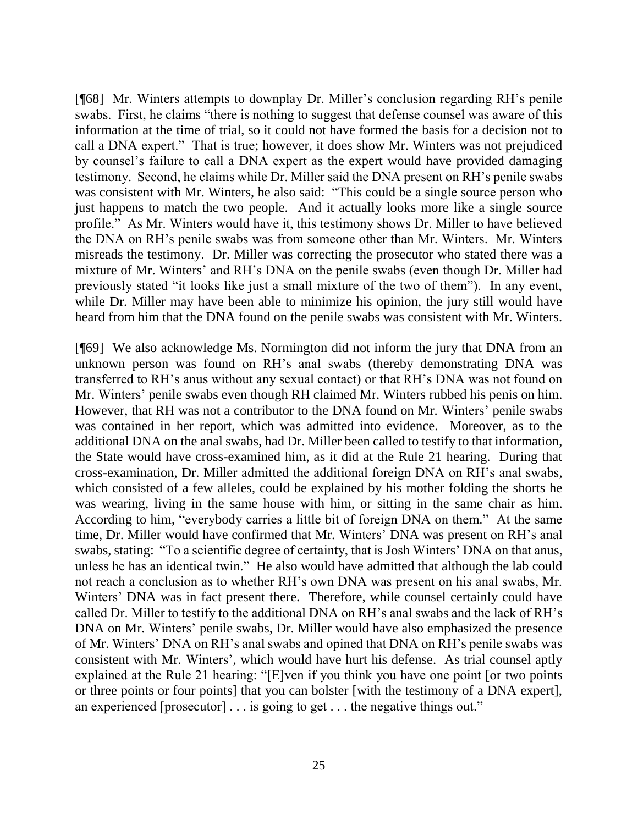[¶68] Mr. Winters attempts to downplay Dr. Miller's conclusion regarding RH's penile swabs. First, he claims "there is nothing to suggest that defense counsel was aware of this information at the time of trial, so it could not have formed the basis for a decision not to call a DNA expert." That is true; however, it does show Mr. Winters was not prejudiced by counsel's failure to call a DNA expert as the expert would have provided damaging testimony. Second, he claims while Dr. Miller said the DNA present on RH's penile swabs was consistent with Mr. Winters, he also said: "This could be a single source person who just happens to match the two people. And it actually looks more like a single source profile." As Mr. Winters would have it, this testimony shows Dr. Miller to have believed the DNA on RH's penile swabs was from someone other than Mr. Winters. Mr. Winters misreads the testimony. Dr. Miller was correcting the prosecutor who stated there was a mixture of Mr. Winters' and RH's DNA on the penile swabs (even though Dr. Miller had previously stated "it looks like just a small mixture of the two of them"). In any event, while Dr. Miller may have been able to minimize his opinion, the jury still would have heard from him that the DNA found on the penile swabs was consistent with Mr. Winters.

[¶69] We also acknowledge Ms. Normington did not inform the jury that DNA from an unknown person was found on RH's anal swabs (thereby demonstrating DNA was transferred to RH's anus without any sexual contact) or that RH's DNA was not found on Mr. Winters' penile swabs even though RH claimed Mr. Winters rubbed his penis on him. However, that RH was not a contributor to the DNA found on Mr. Winters' penile swabs was contained in her report, which was admitted into evidence. Moreover, as to the additional DNA on the anal swabs, had Dr. Miller been called to testify to that information, the State would have cross-examined him, as it did at the Rule 21 hearing. During that cross-examination, Dr. Miller admitted the additional foreign DNA on RH's anal swabs, which consisted of a few alleles, could be explained by his mother folding the shorts he was wearing, living in the same house with him, or sitting in the same chair as him. According to him, "everybody carries a little bit of foreign DNA on them." At the same time, Dr. Miller would have confirmed that Mr. Winters' DNA was present on RH's anal swabs, stating: "To a scientific degree of certainty, that is Josh Winters' DNA on that anus, unless he has an identical twin." He also would have admitted that although the lab could not reach a conclusion as to whether RH's own DNA was present on his anal swabs, Mr. Winters' DNA was in fact present there. Therefore, while counsel certainly could have called Dr. Miller to testify to the additional DNA on RH's anal swabs and the lack of RH's DNA on Mr. Winters' penile swabs, Dr. Miller would have also emphasized the presence of Mr. Winters' DNA on RH's anal swabs and opined that DNA on RH's penile swabs was consistent with Mr. Winters', which would have hurt his defense. As trial counsel aptly explained at the Rule 21 hearing: "[E]ven if you think you have one point [or two points or three points or four points] that you can bolster [with the testimony of a DNA expert], an experienced [prosecutor] . . . is going to get . . . the negative things out."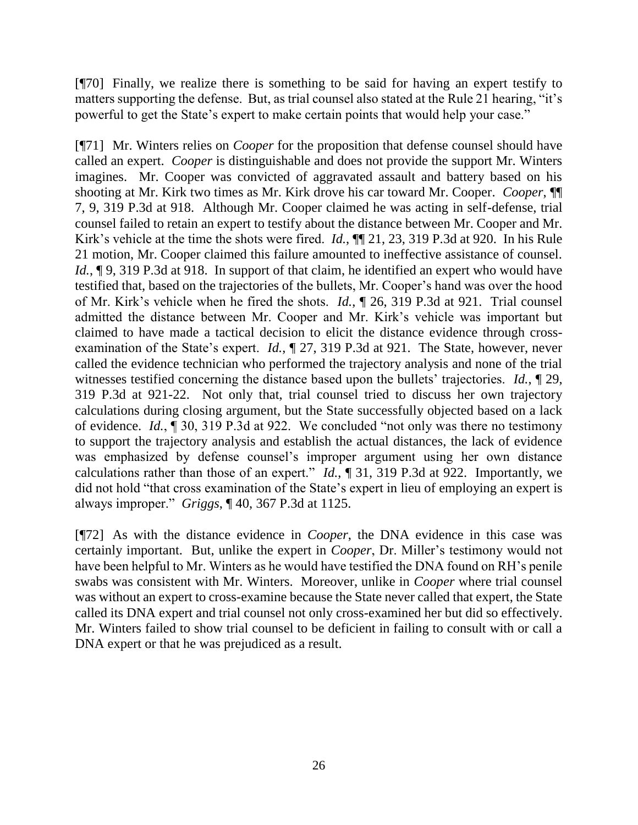[¶70] Finally, we realize there is something to be said for having an expert testify to matters supporting the defense. But, as trial counsel also stated at the Rule 21 hearing, "it's powerful to get the State's expert to make certain points that would help your case."

[¶71] Mr. Winters relies on *Cooper* for the proposition that defense counsel should have called an expert. *Cooper* is distinguishable and does not provide the support Mr. Winters imagines. Mr. Cooper was convicted of aggravated assault and battery based on his shooting at Mr. Kirk two times as Mr. Kirk drove his car toward Mr. Cooper. *Cooper*, ¶¶ 7, 9, 319 P.3d at 918. Although Mr. Cooper claimed he was acting in self-defense, trial counsel failed to retain an expert to testify about the distance between Mr. Cooper and Mr. Kirk's vehicle at the time the shots were fired. *Id.*, ¶¶ 21, 23, 319 P.3d at 920. In his Rule 21 motion, Mr. Cooper claimed this failure amounted to ineffective assistance of counsel. *Id.*,  $\lceil 9, 319 \rceil$  P.3d at 918. In support of that claim, he identified an expert who would have testified that, based on the trajectories of the bullets, Mr. Cooper's hand was over the hood of Mr. Kirk's vehicle when he fired the shots. *Id.*, ¶ 26, 319 P.3d at 921. Trial counsel admitted the distance between Mr. Cooper and Mr. Kirk's vehicle was important but claimed to have made a tactical decision to elicit the distance evidence through crossexamination of the State's expert. *Id.*, ¶ 27, 319 P.3d at 921. The State, however, never called the evidence technician who performed the trajectory analysis and none of the trial witnesses testified concerning the distance based upon the bullets' trajectories. *Id.*, ¶ 29, 319 P.3d at 921-22. Not only that, trial counsel tried to discuss her own trajectory calculations during closing argument, but the State successfully objected based on a lack of evidence. *Id.*, ¶ 30, 319 P.3d at 922. We concluded "not only was there no testimony to support the trajectory analysis and establish the actual distances, the lack of evidence was emphasized by defense counsel's improper argument using her own distance calculations rather than those of an expert." *Id.*, ¶ 31, 319 P.3d at 922. Importantly, we did not hold "that cross examination of the State's expert in lieu of employing an expert is always improper." *Griggs*, ¶ 40, 367 P.3d at 1125.

[¶72] As with the distance evidence in *Cooper*, the DNA evidence in this case was certainly important. But, unlike the expert in *Cooper*, Dr. Miller's testimony would not have been helpful to Mr. Winters as he would have testified the DNA found on RH's penile swabs was consistent with Mr. Winters. Moreover, unlike in *Cooper* where trial counsel was without an expert to cross-examine because the State never called that expert, the State called its DNA expert and trial counsel not only cross-examined her but did so effectively. Mr. Winters failed to show trial counsel to be deficient in failing to consult with or call a DNA expert or that he was prejudiced as a result.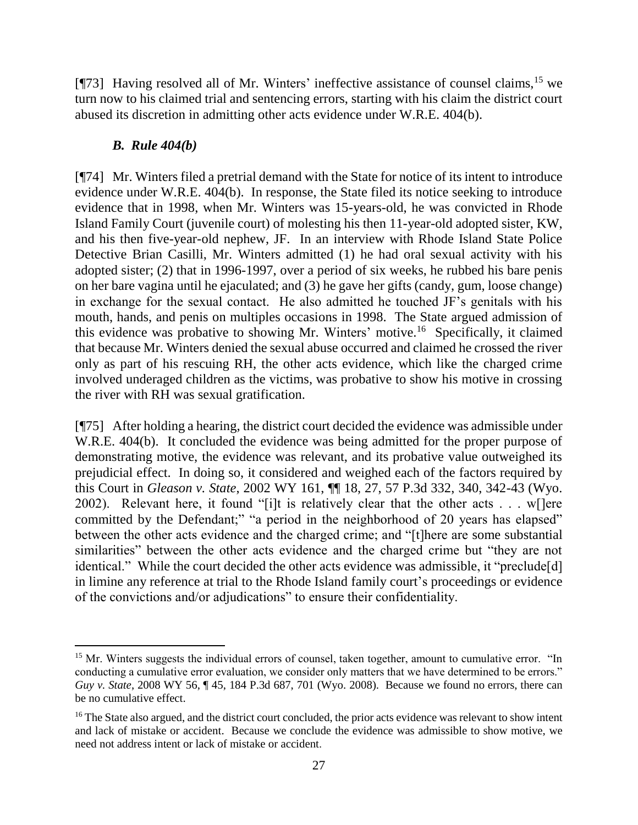[ $[$ 73] Having resolved all of Mr. Winters' ineffective assistance of counsel claims,  $^{15}$  we turn now to his claimed trial and sentencing errors, starting with his claim the district court abused its discretion in admitting other acts evidence under W.R.E. 404(b).

## *B. Rule 404(b)*

 $\overline{a}$ 

[¶74] Mr. Winters filed a pretrial demand with the State for notice of its intent to introduce evidence under W.R.E. 404(b). In response, the State filed its notice seeking to introduce evidence that in 1998, when Mr. Winters was 15-years-old, he was convicted in Rhode Island Family Court (juvenile court) of molesting his then 11-year-old adopted sister, KW, and his then five-year-old nephew, JF. In an interview with Rhode Island State Police Detective Brian Casilli, Mr. Winters admitted (1) he had oral sexual activity with his adopted sister; (2) that in 1996-1997, over a period of six weeks, he rubbed his bare penis on her bare vagina until he ejaculated; and (3) he gave her gifts (candy, gum, loose change) in exchange for the sexual contact. He also admitted he touched JF's genitals with his mouth, hands, and penis on multiples occasions in 1998. The State argued admission of this evidence was probative to showing Mr. Winters' motive.<sup>16</sup> Specifically, it claimed that because Mr. Winters denied the sexual abuse occurred and claimed he crossed the river only as part of his rescuing RH, the other acts evidence, which like the charged crime involved underaged children as the victims, was probative to show his motive in crossing the river with RH was sexual gratification.

[¶75] After holding a hearing, the district court decided the evidence was admissible under W.R.E. 404(b). It concluded the evidence was being admitted for the proper purpose of demonstrating motive, the evidence was relevant, and its probative value outweighed its prejudicial effect. In doing so, it considered and weighed each of the factors required by this Court in *Gleason v. State*, 2002 WY 161, ¶¶ 18, 27, 57 P.3d 332, 340, 342-43 (Wyo. 2002). Relevant here, it found "[i]t is relatively clear that the other acts . . . w[]ere committed by the Defendant;" "a period in the neighborhood of 20 years has elapsed" between the other acts evidence and the charged crime; and "[t]here are some substantial similarities" between the other acts evidence and the charged crime but "they are not identical." While the court decided the other acts evidence was admissible, it "preclude[d] in limine any reference at trial to the Rhode Island family court's proceedings or evidence of the convictions and/or adjudications" to ensure their confidentiality.

<sup>&</sup>lt;sup>15</sup> Mr. Winters suggests the individual errors of counsel, taken together, amount to cumulative error. "In conducting a cumulative error evaluation, we consider only matters that we have determined to be errors." *Guy v. State*, 2008 WY 56, ¶ 45, 184 P.3d 687, 701 (Wyo. 2008). Because we found no errors, there can be no cumulative effect.

<sup>&</sup>lt;sup>16</sup> The State also argued, and the district court concluded, the prior acts evidence was relevant to show intent and lack of mistake or accident. Because we conclude the evidence was admissible to show motive, we need not address intent or lack of mistake or accident.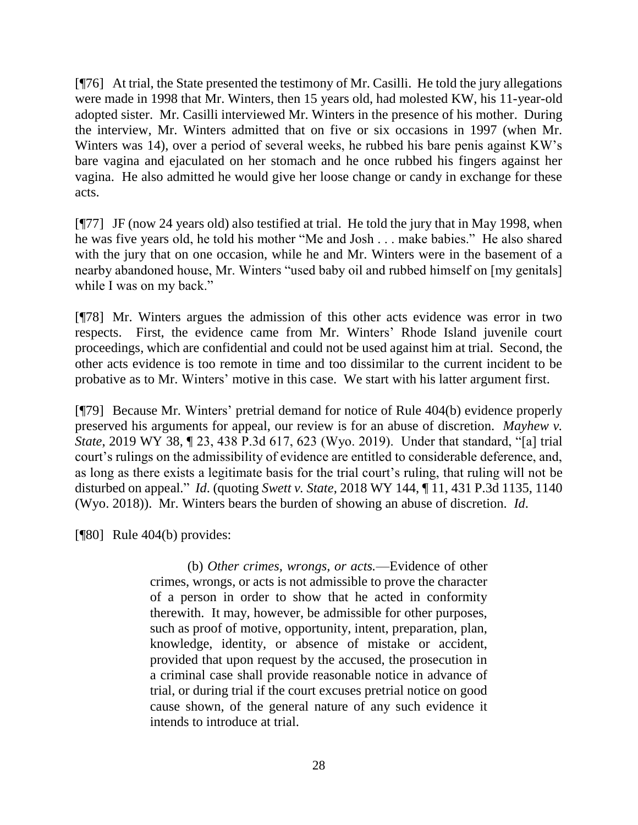[¶76] At trial, the State presented the testimony of Mr. Casilli. He told the jury allegations were made in 1998 that Mr. Winters, then 15 years old, had molested KW, his 11-year-old adopted sister. Mr. Casilli interviewed Mr. Winters in the presence of his mother. During the interview, Mr. Winters admitted that on five or six occasions in 1997 (when Mr. Winters was 14), over a period of several weeks, he rubbed his bare penis against KW's bare vagina and ejaculated on her stomach and he once rubbed his fingers against her vagina. He also admitted he would give her loose change or candy in exchange for these acts.

[¶77] JF (now 24 years old) also testified at trial. He told the jury that in May 1998, when he was five years old, he told his mother "Me and Josh . . . make babies." He also shared with the jury that on one occasion, while he and Mr. Winters were in the basement of a nearby abandoned house, Mr. Winters "used baby oil and rubbed himself on [my genitals] while I was on my back."

[¶78] Mr. Winters argues the admission of this other acts evidence was error in two respects. First, the evidence came from Mr. Winters' Rhode Island juvenile court proceedings, which are confidential and could not be used against him at trial. Second, the other acts evidence is too remote in time and too dissimilar to the current incident to be probative as to Mr. Winters' motive in this case. We start with his latter argument first.

[¶79] Because Mr. Winters' pretrial demand for notice of Rule 404(b) evidence properly preserved his arguments for appeal, our review is for an abuse of discretion. *Mayhew v. State*, 2019 WY 38, ¶ 23, 438 P.3d 617, 623 (Wyo. 2019). Under that standard, "[a] trial court's rulings on the admissibility of evidence are entitled to considerable deference, and, as long as there exists a legitimate basis for the trial court's ruling, that ruling will not be disturbed on appeal." *Id*. (quoting *Swett v. State*, 2018 WY 144, ¶ 11, 431 P.3d 1135, 1140 (Wyo. 2018)). Mr. Winters bears the burden of showing an abuse of discretion. *Id*.

[¶80] Rule 404(b) provides:

(b) *Other crimes, wrongs, or acts.*—Evidence of other crimes, wrongs, or acts is not admissible to prove the character of a person in order to show that he acted in conformity therewith. It may, however, be admissible for other purposes, such as proof of motive, opportunity, intent, preparation, plan, knowledge, identity, or absence of mistake or accident, provided that upon request by the accused, the prosecution in a criminal case shall provide reasonable notice in advance of trial, or during trial if the court excuses pretrial notice on good cause shown, of the general nature of any such evidence it intends to introduce at trial.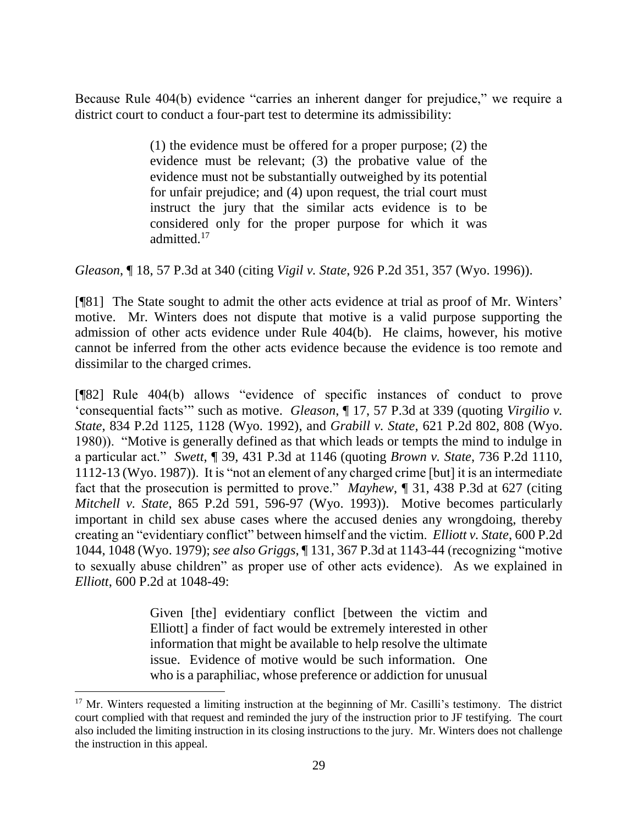Because Rule 404(b) evidence "carries an inherent danger for prejudice," we require a district court to conduct a four-part test to determine its admissibility:

> (1) the evidence must be offered for a proper purpose; (2) the evidence must be relevant; (3) the probative value of the evidence must not be substantially outweighed by its potential for unfair prejudice; and (4) upon request, the trial court must instruct the jury that the similar acts evidence is to be considered only for the proper purpose for which it was admitted.<sup>17</sup>

*Gleason*, ¶ 18, 57 P.3d at 340 (citing *Vigil v. State*, 926 P.2d 351, 357 (Wyo. 1996)).

[¶81] The State sought to admit the other acts evidence at trial as proof of Mr. Winters' motive. Mr. Winters does not dispute that motive is a valid purpose supporting the admission of other acts evidence under Rule 404(b). He claims, however, his motive cannot be inferred from the other acts evidence because the evidence is too remote and dissimilar to the charged crimes.

[¶82] Rule 404(b) allows "evidence of specific instances of conduct to prove 'consequential facts'" such as motive. *Gleason*, ¶ 17, 57 P.3d at 339 (quoting *Virgilio v. State*, 834 P.2d 1125, 1128 (Wyo. 1992), and *Grabill v. State*, 621 P.2d 802, 808 (Wyo. 1980)). "Motive is generally defined as that which leads or tempts the mind to indulge in a particular act." *Swett*, ¶ 39, 431 P.3d at 1146 (quoting *Brown v. State*, 736 P.2d 1110, 1112-13 (Wyo. 1987)). It is "not an element of any charged crime [but] it is an intermediate fact that the prosecution is permitted to prove." *Mayhew*, ¶ 31, 438 P.3d at 627 (citing *Mitchell v. State*, 865 P.2d 591, 596-97 (Wyo. 1993)). Motive becomes particularly important in child sex abuse cases where the accused denies any wrongdoing, thereby creating an "evidentiary conflict" between himself and the victim. *Elliott v. State*, 600 P.2d 1044, 1048 (Wyo. 1979); *see also Griggs*, ¶ 131, 367 P.3d at 1143-44 (recognizing "motive to sexually abuse children" as proper use of other acts evidence). As we explained in *Elliott*, 600 P.2d at 1048-49:

> Given [the] evidentiary conflict [between the victim and Elliott] a finder of fact would be extremely interested in other information that might be available to help resolve the ultimate issue. Evidence of motive would be such information. One who is a paraphiliac, whose preference or addiction for unusual

<sup>&</sup>lt;sup>17</sup> Mr. Winters requested a limiting instruction at the beginning of Mr. Casilli's testimony. The district court complied with that request and reminded the jury of the instruction prior to JF testifying. The court also included the limiting instruction in its closing instructions to the jury. Mr. Winters does not challenge the instruction in this appeal.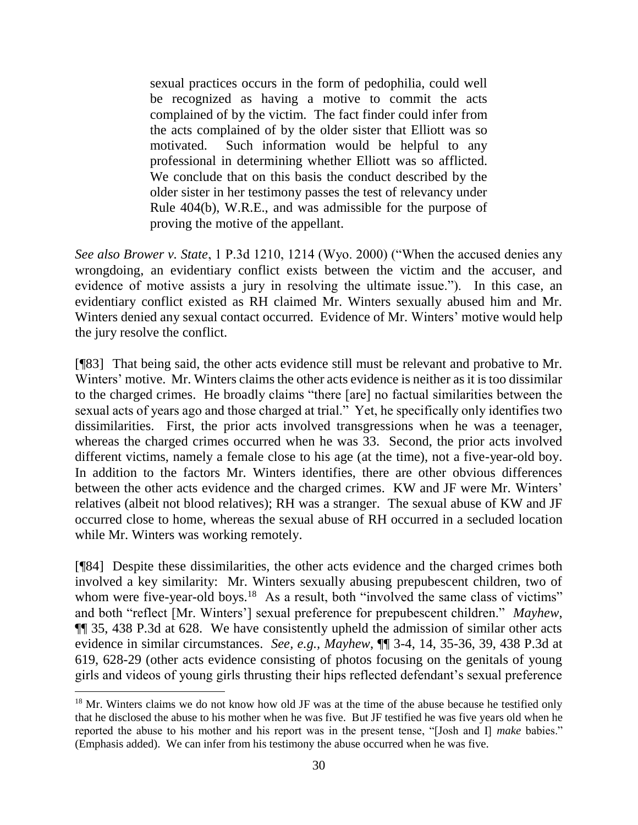sexual practices occurs in the form of pedophilia, could well be recognized as having a motive to commit the acts complained of by the victim. The fact finder could infer from the acts complained of by the older sister that Elliott was so motivated. Such information would be helpful to any professional in determining whether Elliott was so afflicted. We conclude that on this basis the conduct described by the older sister in her testimony passes the test of relevancy under Rule 404(b), W.R.E., and was admissible for the purpose of proving the motive of the appellant.

*See also Brower v. State*, 1 P.3d 1210, 1214 (Wyo. 2000) ("When the accused denies any wrongdoing, an evidentiary conflict exists between the victim and the accuser, and evidence of motive assists a jury in resolving the ultimate issue."). In this case, an evidentiary conflict existed as RH claimed Mr. Winters sexually abused him and Mr. Winters denied any sexual contact occurred. Evidence of Mr. Winters' motive would help the jury resolve the conflict.

[¶83] That being said, the other acts evidence still must be relevant and probative to Mr. Winters' motive. Mr. Winters claims the other acts evidence is neither as it is too dissimilar to the charged crimes. He broadly claims "there [are] no factual similarities between the sexual acts of years ago and those charged at trial." Yet, he specifically only identifies two dissimilarities. First, the prior acts involved transgressions when he was a teenager, whereas the charged crimes occurred when he was 33. Second, the prior acts involved different victims, namely a female close to his age (at the time), not a five-year-old boy. In addition to the factors Mr. Winters identifies, there are other obvious differences between the other acts evidence and the charged crimes. KW and JF were Mr. Winters' relatives (albeit not blood relatives); RH was a stranger. The sexual abuse of KW and JF occurred close to home, whereas the sexual abuse of RH occurred in a secluded location while Mr. Winters was working remotely.

[¶84] Despite these dissimilarities, the other acts evidence and the charged crimes both involved a key similarity: Mr. Winters sexually abusing prepubescent children, two of whom were five-year-old boys.<sup>18</sup> As a result, both "involved the same class of victims" and both "reflect [Mr. Winters'] sexual preference for prepubescent children." *Mayhew*, ¶¶ 35, 438 P.3d at 628. We have consistently upheld the admission of similar other acts evidence in similar circumstances. *See, e.g., Mayhew*, ¶¶ 3-4, 14, 35-36, 39, 438 P.3d at 619, 628-29 (other acts evidence consisting of photos focusing on the genitals of young girls and videos of young girls thrusting their hips reflected defendant's sexual preference

<sup>&</sup>lt;sup>18</sup> Mr. Winters claims we do not know how old JF was at the time of the abuse because he testified only that he disclosed the abuse to his mother when he was five. But JF testified he was five years old when he reported the abuse to his mother and his report was in the present tense, "[Josh and I] *make* babies." (Emphasis added). We can infer from his testimony the abuse occurred when he was five.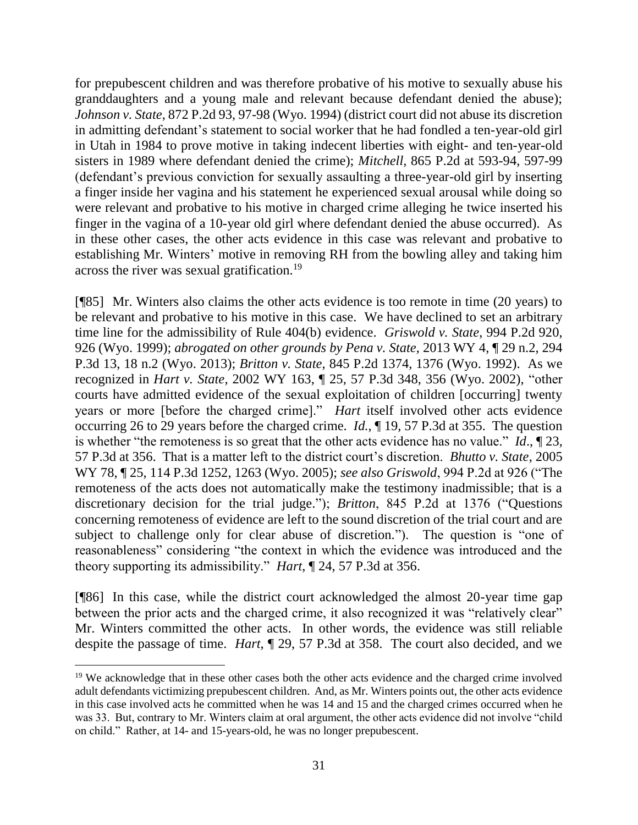for prepubescent children and was therefore probative of his motive to sexually abuse his granddaughters and a young male and relevant because defendant denied the abuse); *Johnson v. State*, 872 P.2d 93, 97-98 (Wyo. 1994) (district court did not abuse its discretion in admitting defendant's statement to social worker that he had fondled a ten-year-old girl in Utah in 1984 to prove motive in taking indecent liberties with eight- and ten-year-old sisters in 1989 where defendant denied the crime); *Mitchell,* 865 P.2d at 593-94, 597-99 (defendant's previous conviction for sexually assaulting a three-year-old girl by inserting a finger inside her vagina and his statement he experienced sexual arousal while doing so were relevant and probative to his motive in charged crime alleging he twice inserted his finger in the vagina of a 10-year old girl where defendant denied the abuse occurred). As in these other cases, the other acts evidence in this case was relevant and probative to establishing Mr. Winters' motive in removing RH from the bowling alley and taking him across the river was sexual gratification.<sup>19</sup>

[¶85] Mr. Winters also claims the other acts evidence is too remote in time (20 years) to be relevant and probative to his motive in this case. We have declined to set an arbitrary time line for the admissibility of Rule 404(b) evidence. *Griswold v. State*, 994 P.2d 920, 926 (Wyo. 1999); *abrogated on other grounds by Pena v. State*, 2013 WY 4, ¶ 29 n.2, 294 P.3d 13, 18 n.2 (Wyo. 2013); *Britton v. State*, 845 P.2d 1374, 1376 (Wyo. 1992). As we recognized in *Hart v. State*, 2002 WY 163, ¶ 25, 57 P.3d 348, 356 (Wyo. 2002), "other courts have admitted evidence of the sexual exploitation of children [occurring] twenty years or more [before the charged crime]." *Hart* itself involved other acts evidence occurring 26 to 29 years before the charged crime. *Id.*, ¶ 19, 57 P.3d at 355. The question is whether "the remoteness is so great that the other acts evidence has no value." *Id*., ¶ 23, 57 P.3d at 356. That is a matter left to the district court's discretion. *Bhutto v. State*, 2005 WY 78, ¶ 25, 114 P.3d 1252, 1263 (Wyo. 2005); *see also Griswold*, 994 P.2d at 926 ("The remoteness of the acts does not automatically make the testimony inadmissible; that is a discretionary decision for the trial judge."); *Britton*, 845 P.2d at 1376 ("Questions concerning remoteness of evidence are left to the sound discretion of the trial court and are subject to challenge only for clear abuse of discretion."). The question is "one of reasonableness" considering "the context in which the evidence was introduced and the theory supporting its admissibility." *Hart*, ¶ 24, 57 P.3d at 356.

[¶86] In this case, while the district court acknowledged the almost 20-year time gap between the prior acts and the charged crime, it also recognized it was "relatively clear" Mr. Winters committed the other acts. In other words, the evidence was still reliable despite the passage of time. *Hart*, ¶ 29, 57 P.3d at 358. The court also decided, and we

 $\overline{a}$ 

<sup>&</sup>lt;sup>19</sup> We acknowledge that in these other cases both the other acts evidence and the charged crime involved adult defendants victimizing prepubescent children. And, as Mr. Winters points out, the other acts evidence in this case involved acts he committed when he was 14 and 15 and the charged crimes occurred when he was 33. But, contrary to Mr. Winters claim at oral argument, the other acts evidence did not involve "child on child." Rather, at 14- and 15-years-old, he was no longer prepubescent.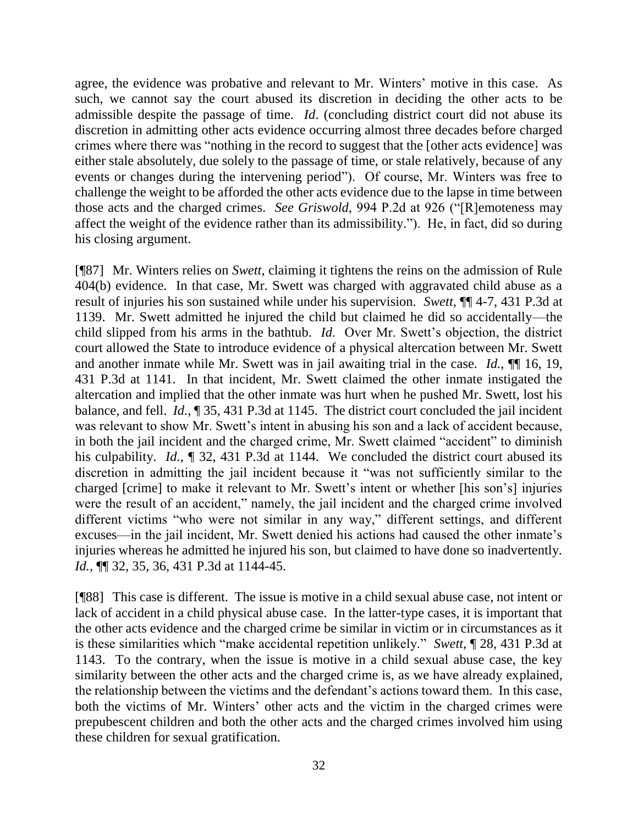agree, the evidence was probative and relevant to Mr. Winters' motive in this case. As such, we cannot say the court abused its discretion in deciding the other acts to be admissible despite the passage of time. *Id*. (concluding district court did not abuse its discretion in admitting other acts evidence occurring almost three decades before charged crimes where there was "nothing in the record to suggest that the [other acts evidence] was either stale absolutely, due solely to the passage of time, or stale relatively, because of any events or changes during the intervening period"). Of course, Mr. Winters was free to challenge the weight to be afforded the other acts evidence due to the lapse in time between those acts and the charged crimes. *See Griswold*, 994 P.2d at 926 ("[R]emoteness may affect the weight of the evidence rather than its admissibility."). He, in fact, did so during his closing argument.

[¶87] Mr. Winters relies on *Swett*, claiming it tightens the reins on the admission of Rule 404(b) evidence. In that case, Mr. Swett was charged with aggravated child abuse as a result of injuries his son sustained while under his supervision. *Swett*, ¶¶ 4-7, 431 P.3d at 1139. Mr. Swett admitted he injured the child but claimed he did so accidentally—the child slipped from his arms in the bathtub. *Id*. Over Mr. Swett's objection, the district court allowed the State to introduce evidence of a physical altercation between Mr. Swett and another inmate while Mr. Swett was in jail awaiting trial in the case. *Id.*, ¶¶ 16, 19, 431 P.3d at 1141. In that incident, Mr. Swett claimed the other inmate instigated the altercation and implied that the other inmate was hurt when he pushed Mr. Swett, lost his balance, and fell. *Id.*, ¶ 35, 431 P.3d at 1145. The district court concluded the jail incident was relevant to show Mr. Swett's intent in abusing his son and a lack of accident because, in both the jail incident and the charged crime, Mr. Swett claimed "accident" to diminish his culpability. *Id.*, ¶ 32, 431 P.3d at 1144. We concluded the district court abused its discretion in admitting the jail incident because it "was not sufficiently similar to the charged [crime] to make it relevant to Mr. Swett's intent or whether [his son's] injuries were the result of an accident," namely, the jail incident and the charged crime involved different victims "who were not similar in any way," different settings, and different excuses—in the jail incident, Mr. Swett denied his actions had caused the other inmate's injuries whereas he admitted he injured his son, but claimed to have done so inadvertently. *Id.*, ¶¶ 32, 35, 36, 431 P.3d at 1144-45.

[¶88] This case is different. The issue is motive in a child sexual abuse case, not intent or lack of accident in a child physical abuse case. In the latter-type cases, it is important that the other acts evidence and the charged crime be similar in victim or in circumstances as it is these similarities which "make accidental repetition unlikely." *Swett*, ¶ 28, 431 P.3d at 1143. To the contrary, when the issue is motive in a child sexual abuse case, the key similarity between the other acts and the charged crime is, as we have already explained, the relationship between the victims and the defendant's actions toward them. In this case, both the victims of Mr. Winters' other acts and the victim in the charged crimes were prepubescent children and both the other acts and the charged crimes involved him using these children for sexual gratification.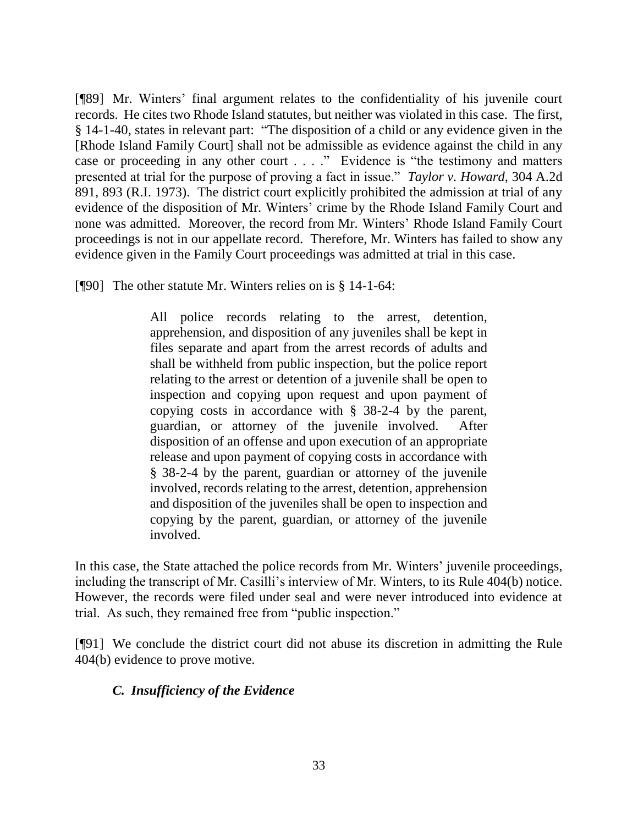[¶89] Mr. Winters' final argument relates to the confidentiality of his juvenile court records. He cites two Rhode Island statutes, but neither was violated in this case. The first, § 14-1-40, states in relevant part: "The disposition of a child or any evidence given in the [Rhode Island Family Court] shall not be admissible as evidence against the child in any case or proceeding in any other court . . . ." Evidence is "the testimony and matters presented at trial for the purpose of proving a fact in issue." *Taylor v. Howard*, 304 A.2d 891, 893 (R.I. 1973). The district court explicitly prohibited the admission at trial of any evidence of the disposition of Mr. Winters' crime by the Rhode Island Family Court and none was admitted. Moreover, the record from Mr. Winters' Rhode Island Family Court proceedings is not in our appellate record. Therefore, Mr. Winters has failed to show any evidence given in the Family Court proceedings was admitted at trial in this case.

[¶90] The other statute Mr. Winters relies on is § 14-1-64:

All police records relating to the arrest, detention, apprehension, and disposition of any juveniles shall be kept in files separate and apart from the arrest records of adults and shall be withheld from public inspection, but the police report relating to the arrest or detention of a juvenile shall be open to inspection and copying upon request and upon payment of copying costs in accordance with § 38-2-4 by the parent, guardian, or attorney of the juvenile involved. After disposition of an offense and upon execution of an appropriate release and upon payment of copying costs in accordance with § 38-2-4 by the parent, guardian or attorney of the juvenile involved, records relating to the arrest, detention, apprehension and disposition of the juveniles shall be open to inspection and copying by the parent, guardian, or attorney of the juvenile involved.

In this case, the State attached the police records from Mr. Winters' juvenile proceedings, including the transcript of Mr. Casilli's interview of Mr. Winters, to its Rule 404(b) notice. However, the records were filed under seal and were never introduced into evidence at trial. As such, they remained free from "public inspection."

[¶91] We conclude the district court did not abuse its discretion in admitting the Rule 404(b) evidence to prove motive.

## *C. Insufficiency of the Evidence*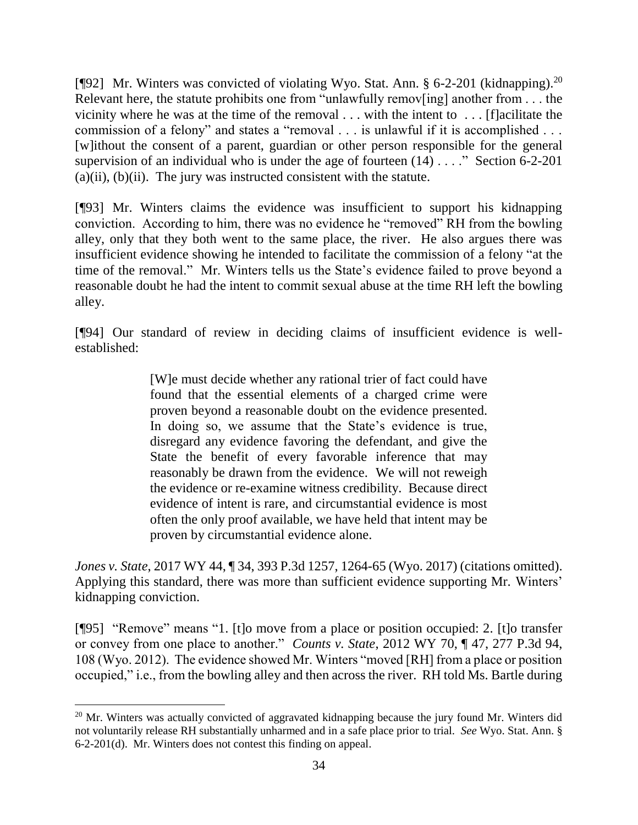[¶92] Mr. Winters was convicted of violating Wyo. Stat. Ann. § 6-2-201 (kidnapping).<sup>20</sup> Relevant here, the statute prohibits one from "unlawfully remov[ing] another from . . . the vicinity where he was at the time of the removal . . . with the intent to . . . [f]acilitate the commission of a felony" and states a "removal . . . is unlawful if it is accomplished . . . [w]ithout the consent of a parent, guardian or other person responsible for the general supervision of an individual who is under the age of fourteen  $(14)$ ...." Section 6-2-201  $(a)(ii)$ ,  $(b)(ii)$ . The jury was instructed consistent with the statute.

[¶93] Mr. Winters claims the evidence was insufficient to support his kidnapping conviction. According to him, there was no evidence he "removed" RH from the bowling alley, only that they both went to the same place, the river. He also argues there was insufficient evidence showing he intended to facilitate the commission of a felony "at the time of the removal." Mr. Winters tells us the State's evidence failed to prove beyond a reasonable doubt he had the intent to commit sexual abuse at the time RH left the bowling alley.

[¶94] Our standard of review in deciding claims of insufficient evidence is wellestablished:

> [W]e must decide whether any rational trier of fact could have found that the essential elements of a charged crime were proven beyond a reasonable doubt on the evidence presented. In doing so, we assume that the State's evidence is true, disregard any evidence favoring the defendant, and give the State the benefit of every favorable inference that may reasonably be drawn from the evidence. We will not reweigh the evidence or re-examine witness credibility. Because direct evidence of intent is rare, and circumstantial evidence is most often the only proof available, we have held that intent may be proven by circumstantial evidence alone.

*Jones v. State*, 2017 WY 44, ¶ 34, 393 P.3d 1257, 1264-65 (Wyo. 2017) (citations omitted). Applying this standard, there was more than sufficient evidence supporting Mr. Winters' kidnapping conviction.

[¶95] "Remove" means "1. [t]o move from a place or position occupied: 2. [t]o transfer or convey from one place to another." *Counts v. State*, 2012 WY 70, ¶ 47, 277 P.3d 94, 108 (Wyo. 2012). The evidence showed Mr. Winters "moved [RH] from a place or position occupied," i.e., from the bowling alley and then across the river. RH told Ms. Bartle during

<sup>&</sup>lt;sup>20</sup> Mr. Winters was actually convicted of aggravated kidnapping because the jury found Mr. Winters did not voluntarily release RH substantially unharmed and in a safe place prior to trial. *See* Wyo. Stat. Ann. § 6-2-201(d). Mr. Winters does not contest this finding on appeal.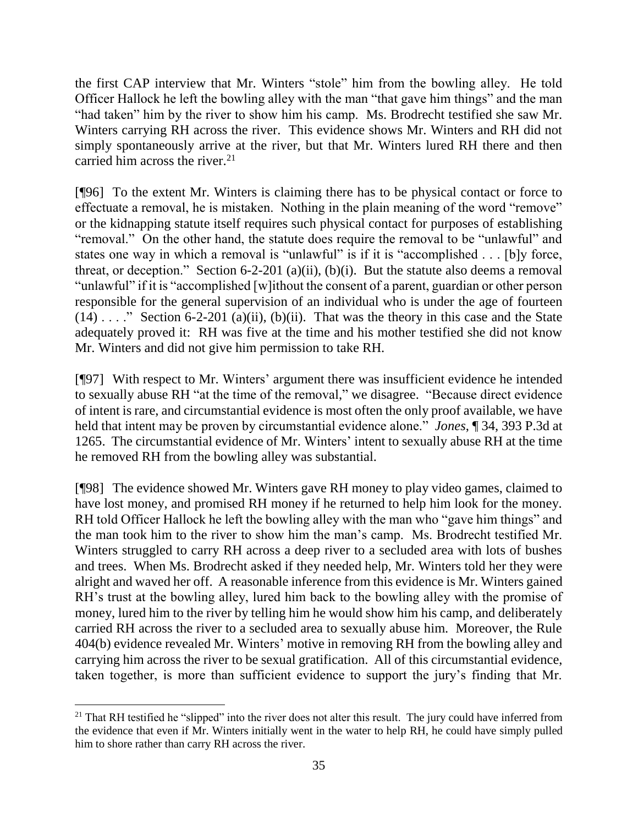the first CAP interview that Mr. Winters "stole" him from the bowling alley. He told Officer Hallock he left the bowling alley with the man "that gave him things" and the man "had taken" him by the river to show him his camp. Ms. Brodrecht testified she saw Mr. Winters carrying RH across the river. This evidence shows Mr. Winters and RH did not simply spontaneously arrive at the river, but that Mr. Winters lured RH there and then carried him across the river. $2<sup>1</sup>$ 

[¶96] To the extent Mr. Winters is claiming there has to be physical contact or force to effectuate a removal, he is mistaken. Nothing in the plain meaning of the word "remove" or the kidnapping statute itself requires such physical contact for purposes of establishing "removal." On the other hand, the statute does require the removal to be "unlawful" and states one way in which a removal is "unlawful" is if it is "accomplished . . . [b]y force, threat, or deception." Section 6-2-201 (a)(ii), (b)(i). But the statute also deems a removal "unlawful" if it is "accomplished [w]ithout the consent of a parent, guardian or other person responsible for the general supervision of an individual who is under the age of fourteen  $(14)$ ...." Section 6-2-201 (a)(ii), (b)(ii). That was the theory in this case and the State adequately proved it: RH was five at the time and his mother testified she did not know Mr. Winters and did not give him permission to take RH.

[¶97] With respect to Mr. Winters' argument there was insufficient evidence he intended to sexually abuse RH "at the time of the removal," we disagree. "Because direct evidence of intent is rare, and circumstantial evidence is most often the only proof available, we have held that intent may be proven by circumstantial evidence alone." *Jones*, ¶ 34, 393 P.3d at 1265. The circumstantial evidence of Mr. Winters' intent to sexually abuse RH at the time he removed RH from the bowling alley was substantial.

[¶98] The evidence showed Mr. Winters gave RH money to play video games, claimed to have lost money, and promised RH money if he returned to help him look for the money. RH told Officer Hallock he left the bowling alley with the man who "gave him things" and the man took him to the river to show him the man's camp. Ms. Brodrecht testified Mr. Winters struggled to carry RH across a deep river to a secluded area with lots of bushes and trees. When Ms. Brodrecht asked if they needed help, Mr. Winters told her they were alright and waved her off. A reasonable inference from this evidence is Mr. Winters gained RH's trust at the bowling alley, lured him back to the bowling alley with the promise of money, lured him to the river by telling him he would show him his camp, and deliberately carried RH across the river to a secluded area to sexually abuse him. Moreover, the Rule 404(b) evidence revealed Mr. Winters' motive in removing RH from the bowling alley and carrying him across the river to be sexual gratification. All of this circumstantial evidence, taken together, is more than sufficient evidence to support the jury's finding that Mr.

 <sup>21</sup> That RH testified he "slipped" into the river does not alter this result. The jury could have inferred from the evidence that even if Mr. Winters initially went in the water to help RH, he could have simply pulled him to shore rather than carry RH across the river.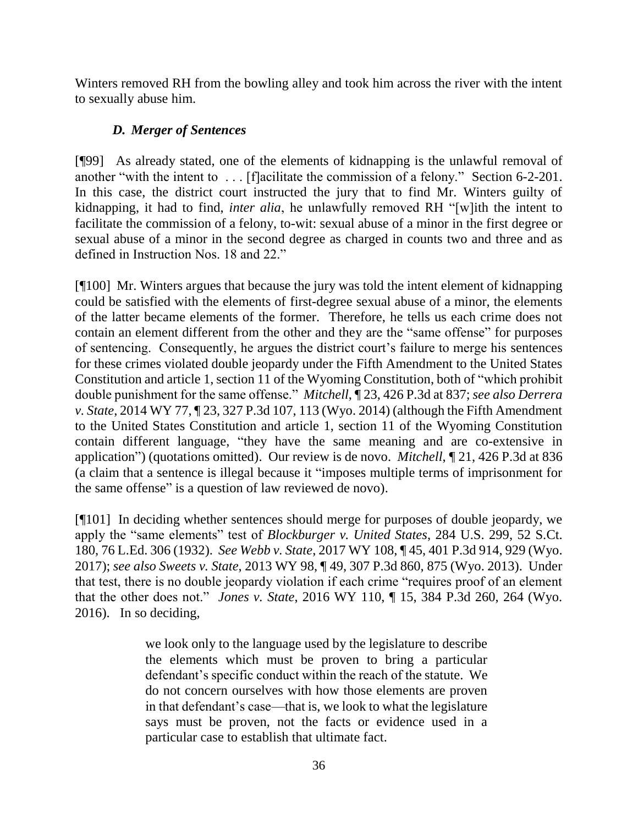Winters removed RH from the bowling alley and took him across the river with the intent to sexually abuse him.

# *D. Merger of Sentences*

[¶99] As already stated, one of the elements of kidnapping is the unlawful removal of another "with the intent to . . . [f]acilitate the commission of a felony." Section 6-2-201. In this case, the district court instructed the jury that to find Mr. Winters guilty of kidnapping, it had to find, *inter alia*, he unlawfully removed RH "[w]ith the intent to facilitate the commission of a felony, to-wit: sexual abuse of a minor in the first degree or sexual abuse of a minor in the second degree as charged in counts two and three and as defined in Instruction Nos. 18 and 22."

[¶100] Mr. Winters argues that because the jury was told the intent element of kidnapping could be satisfied with the elements of first-degree sexual abuse of a minor, the elements of the latter became elements of the former. Therefore, he tells us each crime does not contain an element different from the other and they are the "same offense" for purposes of sentencing. Consequently, he argues the district court's failure to merge his sentences for these crimes violated double jeopardy under the Fifth Amendment to the United States Constitution and article 1, section 11 of the Wyoming Constitution, both of "which prohibit double punishment for the same offense." *Mitchell*, ¶ 23, 426 P.3d at 837; *see also Derrera v. State*, 2014 WY 77, ¶ 23, 327 P.3d 107, 113 (Wyo. 2014) (although the Fifth Amendment to the United States Constitution and article 1, section 11 of the Wyoming Constitution contain different language, "they have the same meaning and are co-extensive in application") (quotations omitted). Our review is de novo. *Mitchell*, ¶ 21, 426 P.3d at 836 (a claim that a sentence is illegal because it "imposes multiple terms of imprisonment for the same offense" is a question of law reviewed de novo).

[¶101] In deciding whether sentences should merge for purposes of double jeopardy, we apply the "same elements" test of *Blockburger v. United States*, 284 U.S. 299, 52 S.Ct. 180, 76 L.Ed. 306 (1932). *See Webb v. State*, 2017 WY 108, ¶ 45, 401 P.3d 914, 929 (Wyo. 2017); *see also Sweets v. State*, 2013 WY 98, ¶ 49, 307 P.3d 860, 875 (Wyo. 2013). Under that test, there is no double jeopardy violation if each crime "requires proof of an element that the other does not." *Jones v. State*, 2016 WY 110, ¶ 15, 384 P.3d 260, 264 (Wyo. 2016). In so deciding,

> we look only to the language used by the legislature to describe the elements which must be proven to bring a particular defendant's specific conduct within the reach of the statute. We do not concern ourselves with how those elements are proven in that defendant's case—that is, we look to what the legislature says must be proven, not the facts or evidence used in a particular case to establish that ultimate fact.